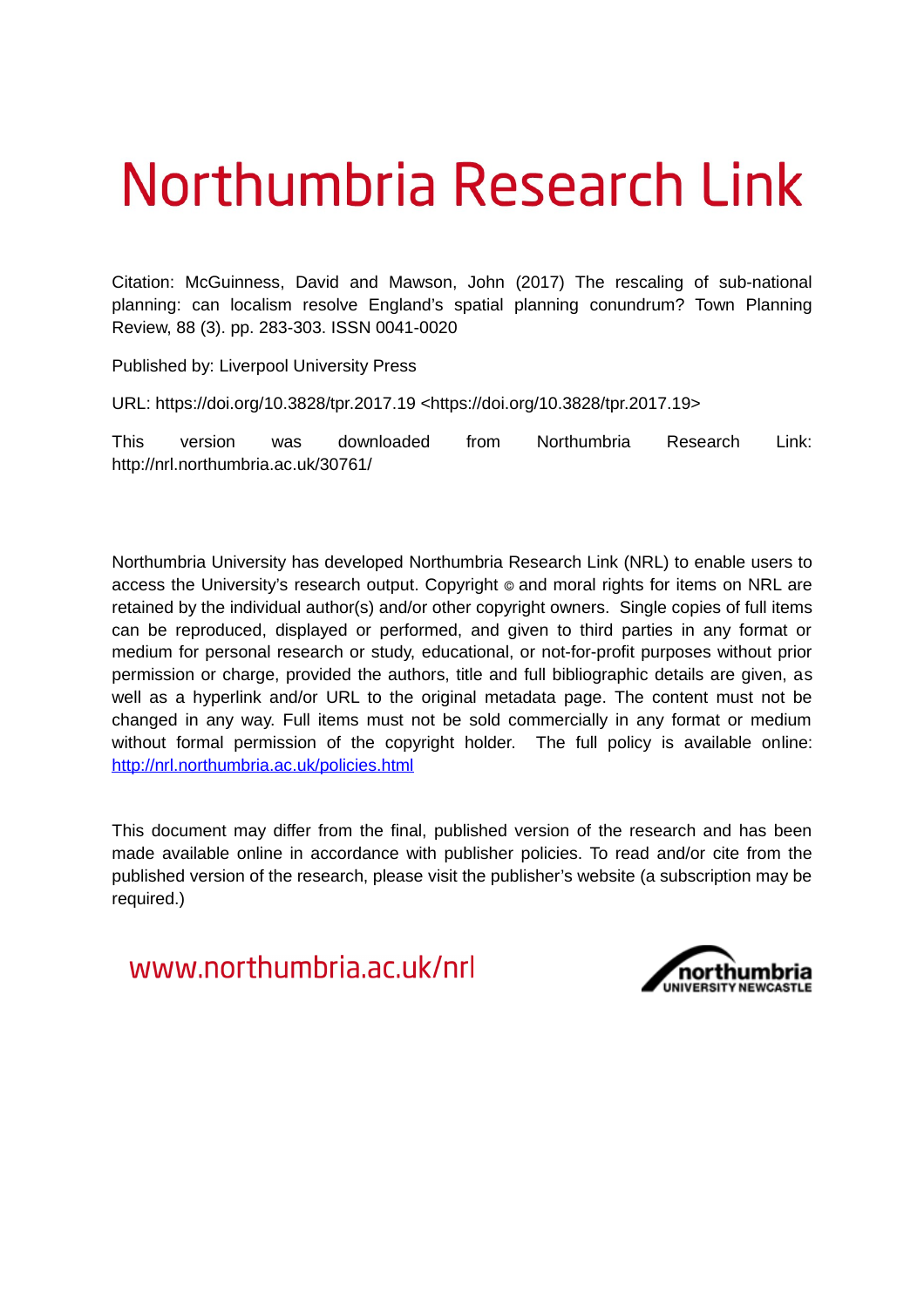# Northumbria Research Link

Citation: McGuinness, David and Mawson, John (2017) The rescaling of sub-national planning: can localism resolve England's spatial planning conundrum? Town Planning Review, 88 (3). pp. 283-303. ISSN 0041-0020

Published by: Liverpool University Press

URL: https://doi.org/10.3828/tpr.2017.19 <https://doi.org/10.3828/tpr.2017.19>

This version was downloaded from Northumbria Research Link: http://nrl.northumbria.ac.uk/30761/

Northumbria University has developed Northumbria Research Link (NRL) to enable users to access the University's research output. Copyright  $\circ$  and moral rights for items on NRL are retained by the individual author(s) and/or other copyright owners. Single copies of full items can be reproduced, displayed or performed, and given to third parties in any format or medium for personal research or study, educational, or not-for-profit purposes without prior permission or charge, provided the authors, title and full bibliographic details are given, as well as a hyperlink and/or URL to the original metadata page. The content must not be changed in any way. Full items must not be sold commercially in any format or medium without formal permission of the copyright holder. The full policy is available online: <http://nrl.northumbria.ac.uk/policies.html>

This document may differ from the final, published version of the research and has been made available online in accordance with publisher policies. To read and/or cite from the published version of the research, please visit the publisher's website (a subscription may be required.)

www.northumbria.ac.uk/nrl

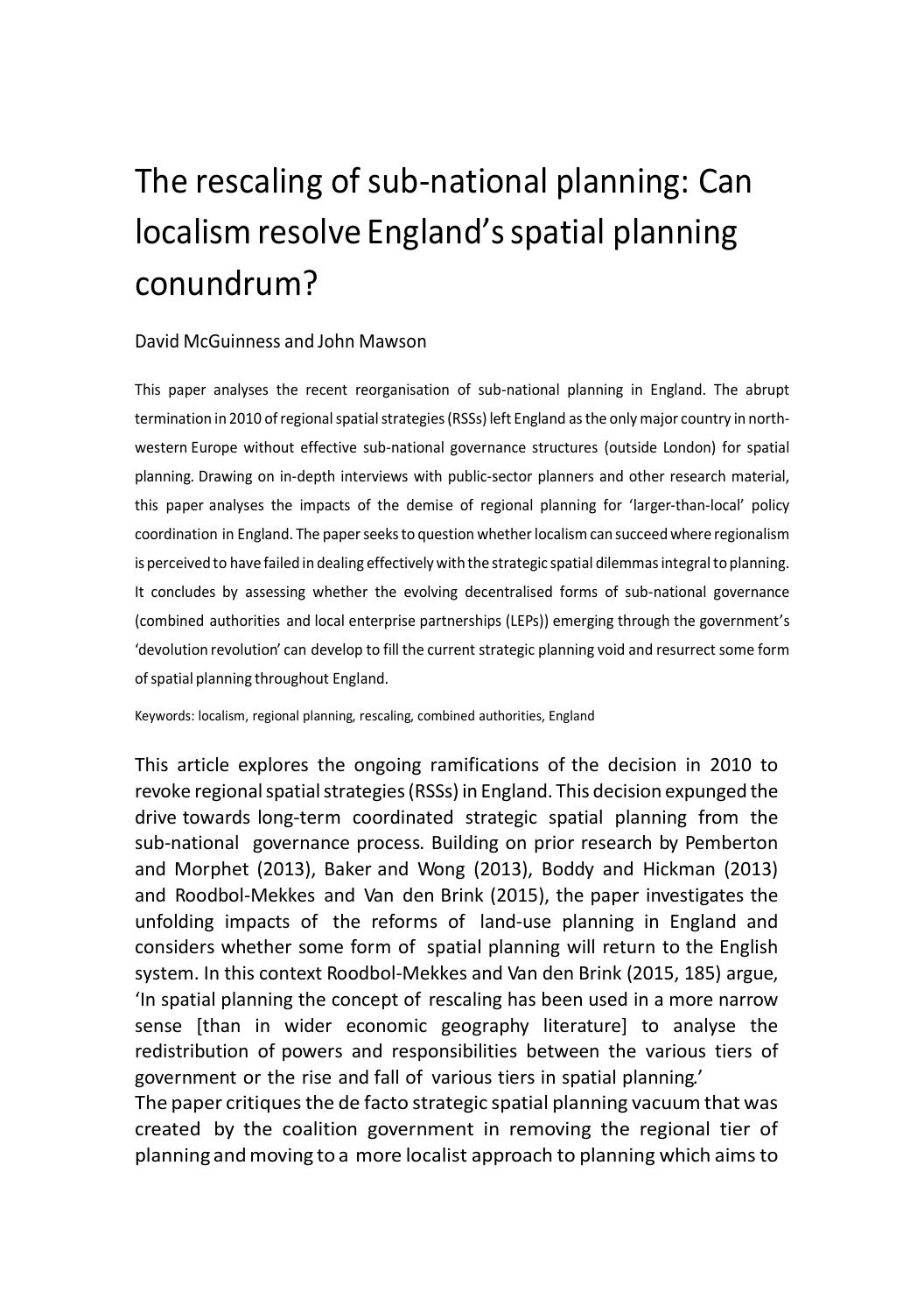# The rescaling of sub-national planning: Can localism resolve England's spatial planning conundrum?

#### David McGuinness and John Mawson

This paper analyses the recent reorganisation of sub-national planning in England. The abrupt termination in 2010 of regional spatial strategies (RSSs) left England as the only major country in northwestern Europe without effective sub-national governance structures (outside London) for spatial planning. Drawing on in-depth interviews with public-sector planners and other research material, this paper analyses the impacts of the demise of regional planning for 'larger-than-local' policy coordination in England. The paper seeks to question whether localism can succeed where regionalism is perceived to have failed in dealing effectively with the strategic spatial dilemmas integral to planning. It concludes by assessing whether the evolving decentralised forms of sub-national governance (combined authorities and local enterprise partnerships (LEPs)) emerging through the government's 'devolution revolution' can develop to fill the current strategic planning void and resurrect some form ofspatial planning throughout England.

Keywords: localism, regional planning, rescaling, combined authorities, England

This article explores the ongoing ramifications of the decision in 2010 to revoke regionalspatialstrategies(RSSs) in England. This decision expunged the drive towards long-term coordinated strategic spatial planning from the sub-national governance process. Building on prior research by Pemberton and Morphet (2013), Baker and Wong (2013), Boddy and Hickman (2013) and Roodbol-Mekkes and Van den Brink (2015), the paper investigates the unfolding impacts of the reforms of land-use planning in England and considers whether some form of spatial planning will return to the English system. In this context Roodbol-Mekkes and Van den Brink (2015, 185) argue, 'In spatial planning the concept of rescaling has been used in a more narrow sense [than in wider economic geography literature] to analyse the redistribution of powers and responsibilities between the various tiers of government or the rise and fall of various tiers in spatial planning.'

The paper critiques the de facto strategic spatial planning vacuum that was created by the coalition government in removing the regional tier of planning andmoving to a more localist approach to planning which aimsto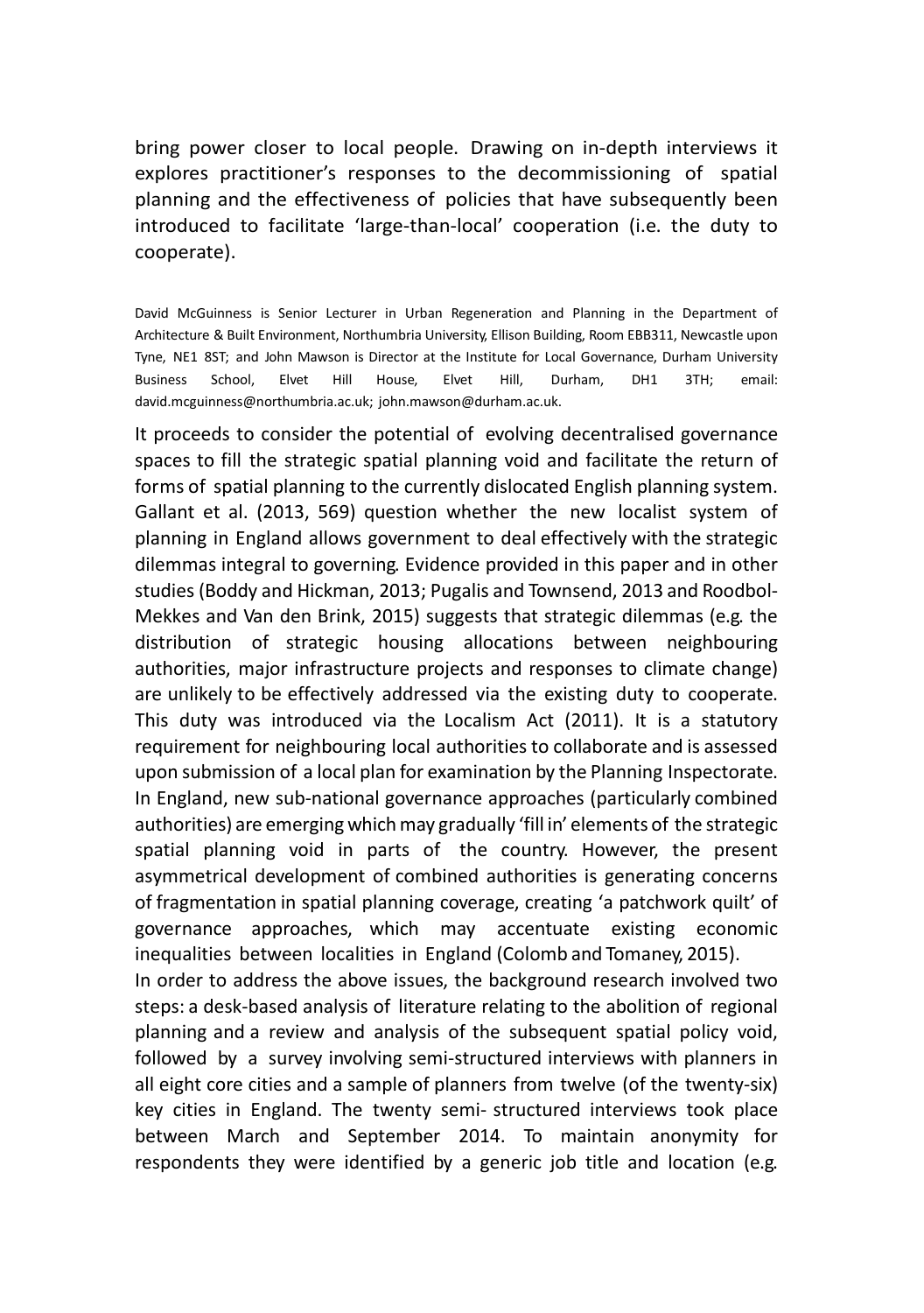bring power closer to local people. Drawing on in-depth interviews it explores practitioner's responses to the decommissioning of spatial planning and the effectiveness of policies that have subsequently been introduced to facilitate 'large-than-local' cooperation (i.e. the duty to cooperate).

David McGuinness is Senior Lecturer in Urban Regeneration and Planning in the Department of Architecture & Built Environment, Northumbria University, Ellison Building, Room EBB311, Newcastle upon Tyne, NE1 8ST; and John Mawson is Director at the Institute for Local Governance, Durham University Business School, Elvet Hill House, Elvet Hill, Durham, DH1 3TH; email: david.mcguinness@northumbria.ac.uk; [john.mawson@durham.ac.uk.](mailto:john.mawson@durham.ac.uk)

It proceeds to consider the potential of evolving decentralised governance spaces to fill the strategic spatial planning void and facilitate the return of forms of spatial planning to the currently dislocated English planning system. Gallant et al. (2013, 569) question whether the new localist system of planning in England allows government to deal effectively with the strategic dilemmas integral to governing. Evidence provided in this paper and in other studies (Boddy and Hickman, 2013; Pugalis and Townsend, 2013 and Roodbol-Mekkes and Van den Brink, 2015) suggests that strategic dilemmas (e.g. the distribution of strategic housing allocations between neighbouring authorities, major infrastructure projects and responses to climate change) are unlikely to be effectively addressed via the existing duty to cooperate. This duty was introduced via the Localism Act (2011). It is a statutory requirement for neighbouring local authorities to collaborate and is assessed upon submission of a local plan for examination by the Planning Inspectorate. In England, new sub-national governance approaches (particularly combined authorities) are emerging which may gradually 'fill in' elements of the strategic spatial planning void in parts of the country. However, the present asymmetrical development of combined authorities is generating concerns of fragmentation in spatial planning coverage, creating 'a patchwork quilt' of governance approaches, which may accentuate existing economic inequalities between localities in England (Colomb and Tomaney, 2015). In order to address the above issues, the background research involved two steps: a desk-based analysis of literature relating to the abolition of regional planning and a review and analysis of the subsequent spatial policy void, followed by a survey involving semi-structured interviews with planners in all eight core cities and a sample of planners from twelve (of the twenty-six) key cities in England. The twenty semi- structured interviews took place between March and September 2014. To maintain anonymity for respondents they were identified by a generic job title and location (e.g.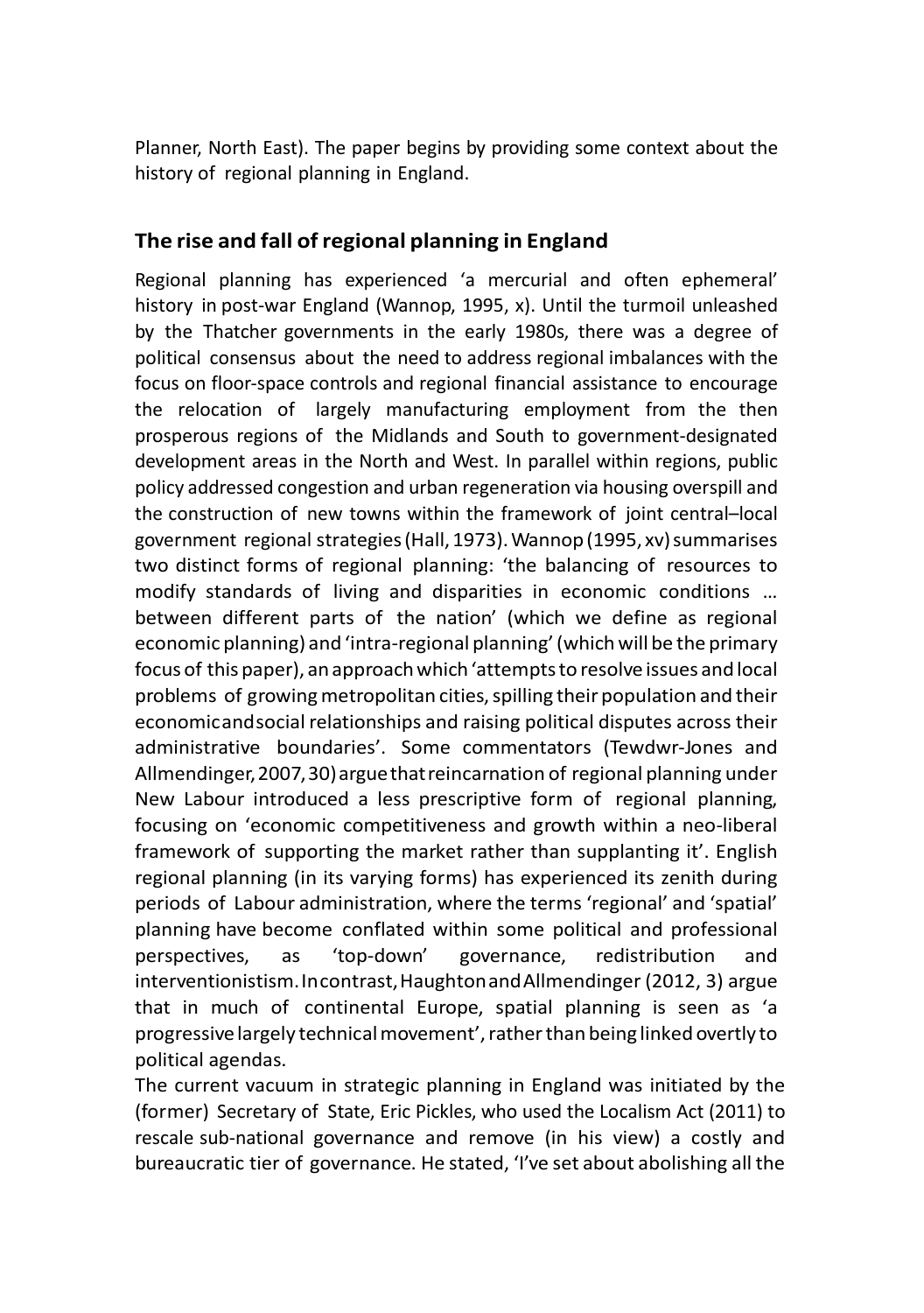Planner, North East). The paper begins by providing some context about the history of regional planning in England.

# **The rise and fall ofregional planning in England**

Regional planning has experienced 'a mercurial and often ephemeral' history in post-war England (Wannop, 1995, x). Until the turmoil unleashed by the Thatcher governments in the early 1980s, there was a degree of political consensus about the need to address regional imbalances with the focus on floor-space controls and regional financial assistance to encourage the relocation of largely manufacturing employment from the then prosperous regions of the Midlands and South to government-designated development areas in the North and West. In parallel within regions, public policy addressed congestion and urban regeneration via housing overspill and the construction of new towns within the framework of joint central–local government regional strategies (Hall, 1973). Wannop (1995, xv) summarises two distinct forms of regional planning: 'the balancing of resources to modify standards of living and disparities in economic conditions … between different parts of the nation' (which we define as regional economic planning) and 'intra-regional planning'(which will be the primary focus of this paper), an approach which 'attempts to resolve issues and local problems of growingmetropolitan cities,spilling their population and their economicandsocial relationships and raising political disputes across their administrative boundaries'. Some commentators (Tewdwr-Jones and Allmendinger,2007,30)arguethatreincarnation of regional planning under New Labour introduced a less prescriptive form of regional planning, focusing on 'economic competitiveness and growth within a neo-liberal framework of supporting the market rather than supplanting it'. English regional planning (in its varying forms) has experienced its zenith during periods of Labour administration, where the terms 'regional' and 'spatial' planning have become conflated within some political and professional perspectives, as 'top-down' governance, redistribution and interventionistism. Incontrast, Haughton and Allmendinger (2012, 3) argue that in much of continental Europe, spatial planning is seen as 'a progressive largely technical movement', rather than being linked overtly to political agendas.

The current vacuum in strategic planning in England was initiated by the (former) Secretary of State, Eric Pickles, who used the Localism Act (2011) to rescale sub-national governance and remove (in his view) a costly and bureaucratic tier of governance. He stated, 'I've set about abolishing all the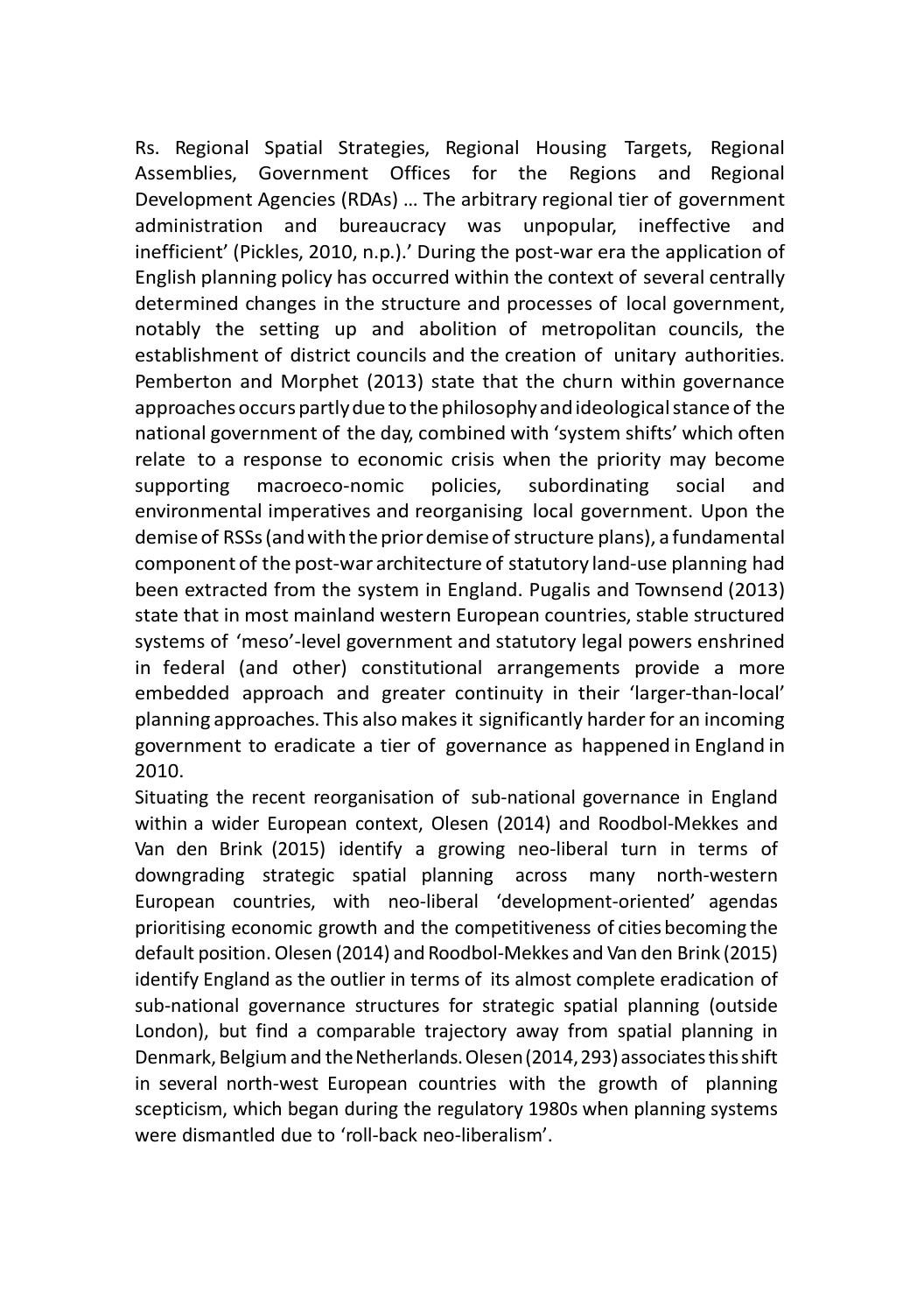Rs. Regional Spatial Strategies, Regional Housing Targets, Regional Assemblies, Government Offices for the Regions and Regional Development Agencies (RDAs) … The arbitrary regional tier of government administration and bureaucracy was unpopular, ineffective and inefficient' (Pickles, 2010, n.p.).' During the post-war era the application of English planning policy has occurred within the context of several centrally determined changes in the structure and processes of local government, notably the setting up and abolition of metropolitan councils, the establishment of district councils and the creation of unitary authorities. Pemberton and Morphet (2013) state that the churn within governance approaches occurs partly due to the philosophy and ideological stance of the national government of the day, combined with 'system shifts' which often relate to a response to economic crisis when the priority may become supporting macroeco-nomic policies, subordinating social and environmental imperatives and reorganising local government. Upon the demiseof RSSs(andwiththepriordemiseofstructure plans), a fundamental component of the post-war architecture of statutory land-use planning had been extracted from the system in England. Pugalis and Townsend (2013) state that in most mainland western European countries, stable structured systems of 'meso'-level government and statutory legal powers enshrined in federal (and other) constitutional arrangements provide a more embedded approach and greater continuity in their 'larger-than-local' planning approaches. This also makesit significantly harder for an incoming government to eradicate a tier of governance as happened in England in 2010.

Situating the recent reorganisation of sub-national governance in England within a wider European context, Olesen (2014) and Roodbol-Mekkes and Van den Brink (2015) identify a growing neo-liberal turn in terms of downgrading strategic spatial planning across many north-western European countries, with neo-liberal 'development-oriented' agendas prioritising economic growth and the competitiveness of cities becoming the default position.Olesen (2014) and Roodbol-Mekkes and Van den Brink (2015) identify England as the outlier in terms of its almost complete eradication of sub-national governance structures for strategic spatial planning (outside London), but find a comparable trajectory away from spatial planning in Denmark, Belgium and the Netherlands. Olesen (2014, 293) associates this shift in several north-west European countries with the growth of planning scepticism, which began during the regulatory 1980s when planning systems were dismantled due to 'roll-back neo-liberalism'.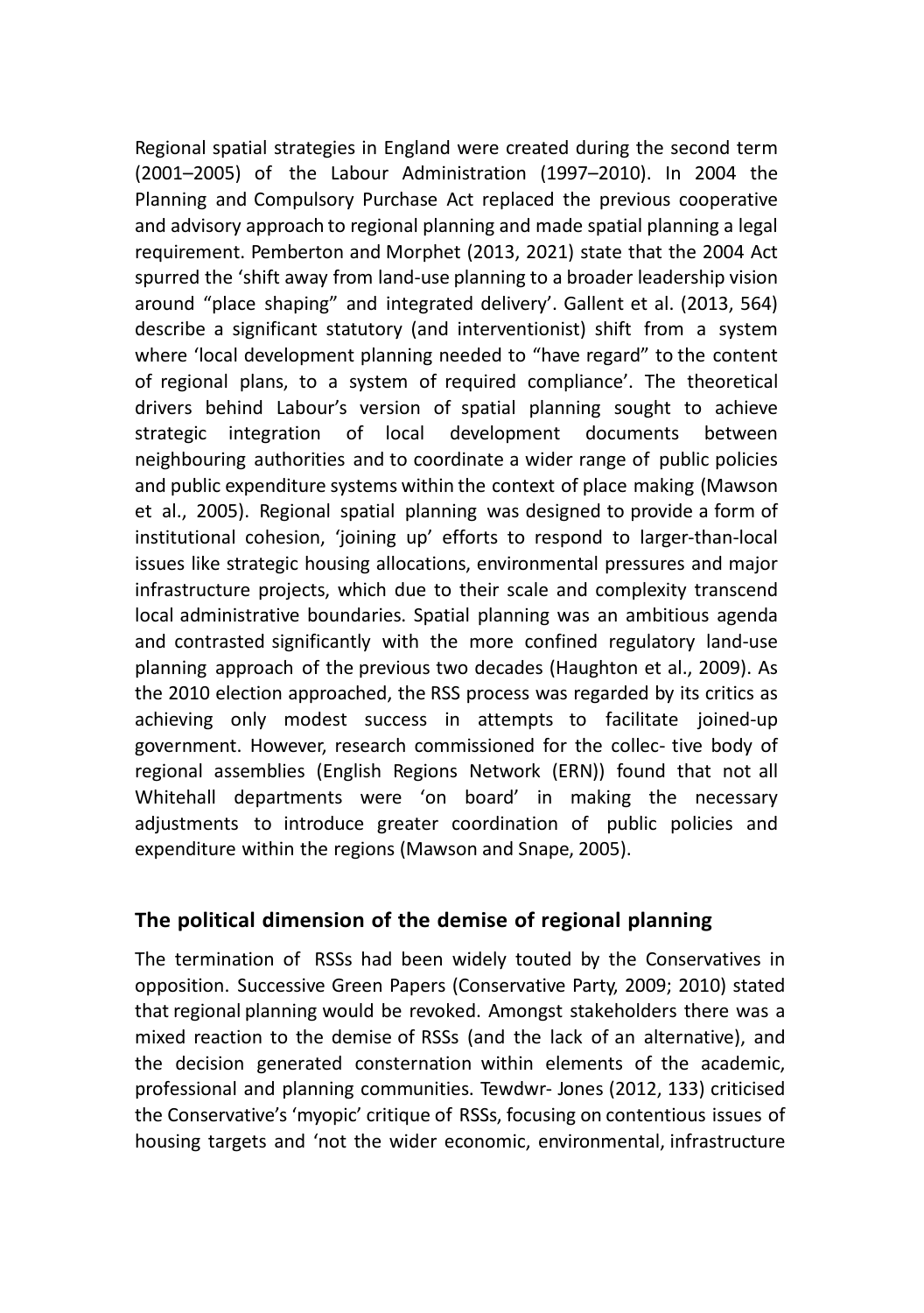Regional spatial strategies in England were created during the second term (2001–2005) of the Labour Administration (1997–2010). In 2004 the Planning and Compulsory Purchase Act replaced the previous cooperative and advisory approach to regional planning and made spatial planning a legal requirement. Pemberton and Morphet (2013, 2021) state that the 2004 Act spurred the 'shift away from land-use planning to a broader leadership vision around "place shaping" and integrated delivery'. Gallent et al. (2013, 564) describe a significant statutory (and interventionist) shift from a system where 'local development planning needed to "have regard" to the content of regional plans, to a system of required compliance'. The theoretical drivers behind Labour's version of spatial planning sought to achieve strategic integration of local development documents between neighbouring authorities and to coordinate a wider range of public policies and public expenditure systems within the context of place making (Mawson et al., 2005). Regional spatial planning was designed to provide a form of institutional cohesion, 'joining up' efforts to respond to larger-than-local issues like strategic housing allocations, environmental pressures and major infrastructure projects, which due to their scale and complexity transcend local administrative boundaries. Spatial planning was an ambitious agenda and contrasted significantly with the more confined regulatory land-use planning approach of the previous two decades (Haughton et al., 2009). As the 2010 election approached, the RSS process was regarded by its critics as achieving only modest success in attempts to facilitate joined-up government. However, research commissioned for the collec- tive body of regional assemblies (English Regions Network (ERN)) found that not all Whitehall departments were 'on board' in making the necessary adjustments to introduce greater coordination of public policies and expenditure within the regions (Mawson and Snape, 2005).

# **The political dimension of the demise of regional planning**

The termination of RSSs had been widely touted by the Conservatives in opposition. Successive Green Papers (Conservative Party, 2009; 2010) stated that regional planning would be revoked. Amongst stakeholders there was a mixed reaction to the demise of RSSs (and the lack of an alternative), and the decision generated consternation within elements of the academic, professional and planning communities. Tewdwr- Jones (2012, 133) criticised the Conservative's 'myopic' critique of RSSs, focusing on contentious issues of housing targets and 'not the wider economic, environmental, infrastructure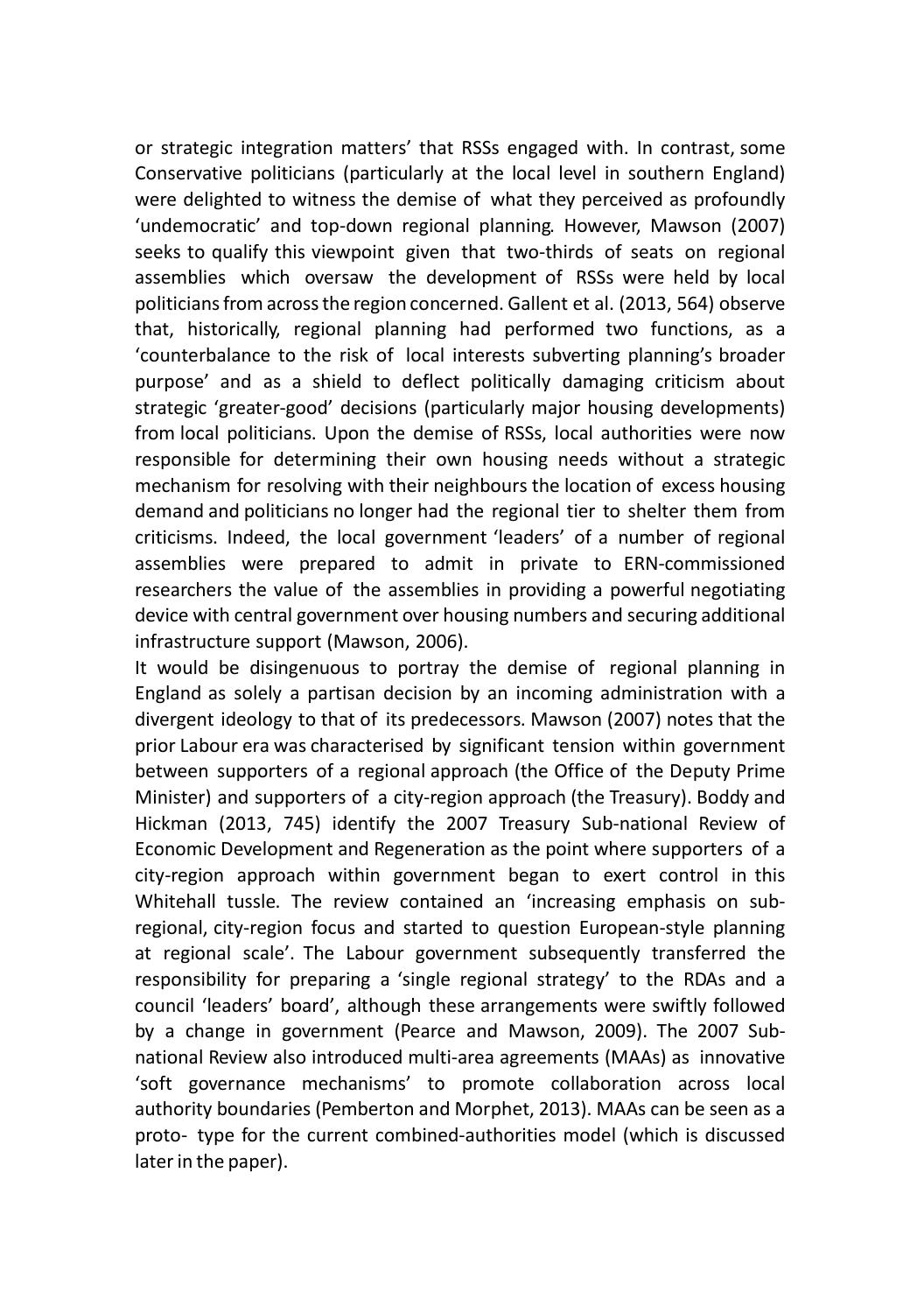or strategic integration matters' that RSSs engaged with. In contrast, some Conservative politicians (particularly at the local level in southern England) were delighted to witness the demise of what they perceived as profoundly 'undemocratic' and top-down regional planning. However, Mawson (2007) seeks to qualify this viewpoint given that two-thirds of seats on regional assemblies which oversaw the development of RSSs were held by local politiciansfrom acrossthe region concerned. Gallent et al. (2013, 564) observe that, historically, regional planning had performed two functions, as a 'counterbalance to the risk of local interests subverting planning's broader purpose' and as a shield to deflect politically damaging criticism about strategic 'greater-good' decisions (particularly major housing developments) from local politicians. Upon the demise of RSSs, local authorities were now responsible for determining their own housing needs without a strategic mechanism for resolving with their neighbours the location of excess housing demand and politicians no longer had the regional tier to shelter them from criticisms. Indeed, the local government 'leaders' of a number of regional assemblies were prepared to admit in private to ERN-commissioned researchers the value of the assemblies in providing a powerful negotiating device with central government over housing numbers and securing additional infrastructure support (Mawson, 2006).

It would be disingenuous to portray the demise of regional planning in England as solely a partisan decision by an incoming administration with a divergent ideology to that of its predecessors. Mawson (2007) notes that the prior Labour era was characterised by significant tension within government between supporters of a regional approach (the Office of the Deputy Prime Minister) and supporters of a city-region approach (the Treasury). Boddy and Hickman (2013, 745) identify the 2007 Treasury Sub-national Review of Economic Development and Regeneration as the point where supporters of a city-region approach within government began to exert control in this Whitehall tussle. The review contained an 'increasing emphasis on subregional, city-region focus and started to question European-style planning at regional scale'. The Labour government subsequently transferred the responsibility for preparing a 'single regional strategy' to the RDAs and a council 'leaders' board', although these arrangements were swiftly followed by a change in government (Pearce and Mawson, 2009). The 2007 Subnational Review also introduced multi-area agreements (MAAs) as innovative 'soft governance mechanisms' to promote collaboration across local authority boundaries (Pemberton and Morphet, 2013). MAAs can be seen as a proto- type for the current combined-authorities model (which is discussed later in the paper).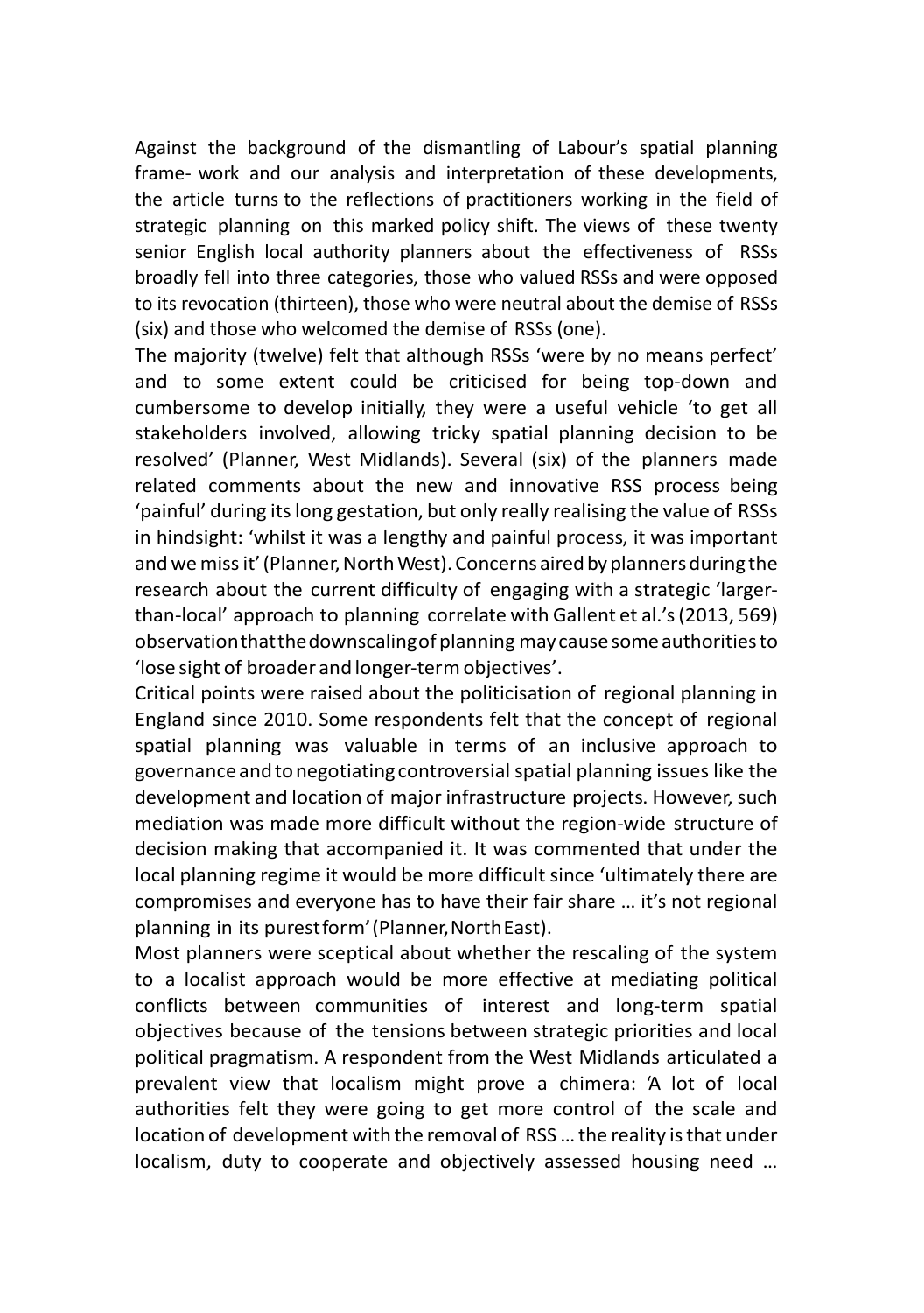Against the background of the dismantling of Labour's spatial planning frame- work and our analysis and interpretation of these developments, the article turns to the reflections of practitioners working in the field of strategic planning on this marked policy shift. The views of these twenty senior English local authority planners about the effectiveness of RSSs broadly fell into three categories, those who valued RSSs and were opposed to its revocation (thirteen), those who were neutral about the demise of RSSs (six) and those who welcomed the demise of RSSs (one).

The majority (twelve) felt that although RSSs 'were by no means perfect' and to some extent could be criticised for being top-down and cumbersome to develop initially, they were a useful vehicle 'to get all stakeholders involved, allowing tricky spatial planning decision to be resolved' (Planner, West Midlands). Several (six) of the planners made related comments about the new and innovative RSS process being 'painful' during itslong gestation, but only really realising the value of RSSs in hindsight: 'whilst it was a lengthy and painful process, it was important and we miss it' (Planner, North West). Concerns aired by planners during the research about the current difficulty of engaging with a strategic 'largerthan-local' approach to planning correlate with Gallent et al.'s(2013, 569) observationthatthedownscalingof planning maycausesomeauthoritiesto 'lose sight of broader and longer-termobjectives'.

Critical points were raised about the politicisation of regional planning in England since 2010. Some respondents felt that the concept of regional spatial planning was valuable in terms of an inclusive approach to governanceandtonegotiatingcontroversial spatial planning issues like the development and location of major infrastructure projects. However, such mediation was made more difficult without the region-wide structure of decision making that accompanied it. It was commented that under the local planning regime it would be more difficult since 'ultimately there are compromises and everyone has to have their fair share … it's not regional planning in its purestform'(Planner,NorthEast).

Most planners were sceptical about whether the rescaling of the system to a localist approach would be more effective at mediating political conflicts between communities of interest and long-term spatial objectives because of the tensions between strategic priorities and local political pragmatism. A respondent from the West Midlands articulated a prevalent view that localism might prove a chimera: 'A lot of local authorities felt they were going to get more control of the scale and location of development with the removal of RSS ... the reality is that under localism, duty to cooperate and objectively assessed housing need …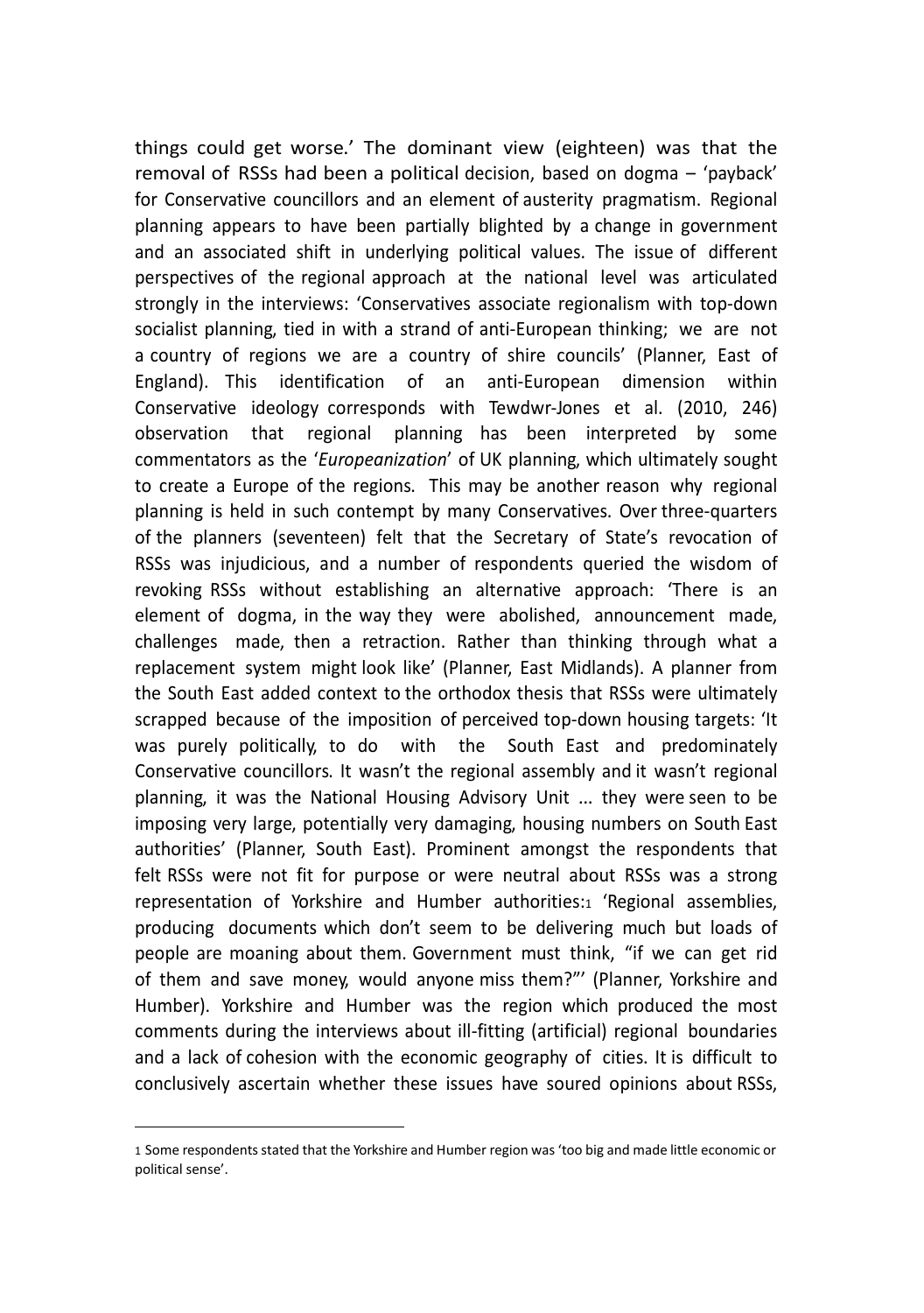things could get worse.' The dominant view (eighteen) was that the removal of RSSs had been a political decision, based on dogma – 'payback' for Conservative councillors and an element of austerity pragmatism. Regional planning appears to have been partially blighted by a change in government and an associated shift in underlying political values. The issue of different perspectives of the regional approach at the national level was articulated strongly in the interviews: 'Conservatives associate regionalism with top-down socialist planning, tied in with a strand of anti-European thinking; we are not a country of regions we are a country of shire councils' (Planner, East of England). This identification of an anti-European dimension within Conservative ideology corresponds with Tewdwr-Jones et al. (2010, 246) observation that regional planning has been interpreted by some commentators as the '*Europeanization*' of UK planning, which ultimately sought to create a Europe of the regions. This may be another reason why regional planning is held in such contempt by many Conservatives. Over three-quarters of the planners (seventeen) felt that the Secretary of State's revocation of RSSs was injudicious, and a number of respondents queried the wisdom of revoking RSSs without establishing an alternative approach: 'There is an element of dogma, in the way they were abolished, announcement made, challenges made, then a retraction. Rather than thinking through what a replacement system might look like' (Planner, East Midlands). A planner from the South East added context to the orthodox thesis that RSSs were ultimately scrapped because of the imposition of perceived top-down housing targets: 'It was purely politically, to do with the South East and predominately Conservative councillors. It wasn't the regional assembly and it wasn't regional planning, it was the National Housing Advisory Unit … they were seen to be imposing very large, potentially very damaging, housing numbers on South East authorities' (Planner, South East). Prominent amongst the respondents that felt RSSs were not fit for purpose or were neutral about RSSs was a strong representation of Yorkshire and Humber authorities:1 'Regional assemblies, producing documents which don't seem to be delivering much but loads of people are moaning about them. Government must think, "if we can get rid of them and save money, would anyone miss them?"' (Planner, Yorkshire and Humber). Yorkshire and Humber was the region which produced the most comments during the interviews about ill-fitting (artificial) regional boundaries and a lack of cohesion with the economic geography of cities. It is difficult to conclusively ascertain whether these issues have soured opinions about RSSs,

1

<sup>1</sup> Some respondentsstated that the Yorkshire and Humber region was'too big and made little economic or political sense'.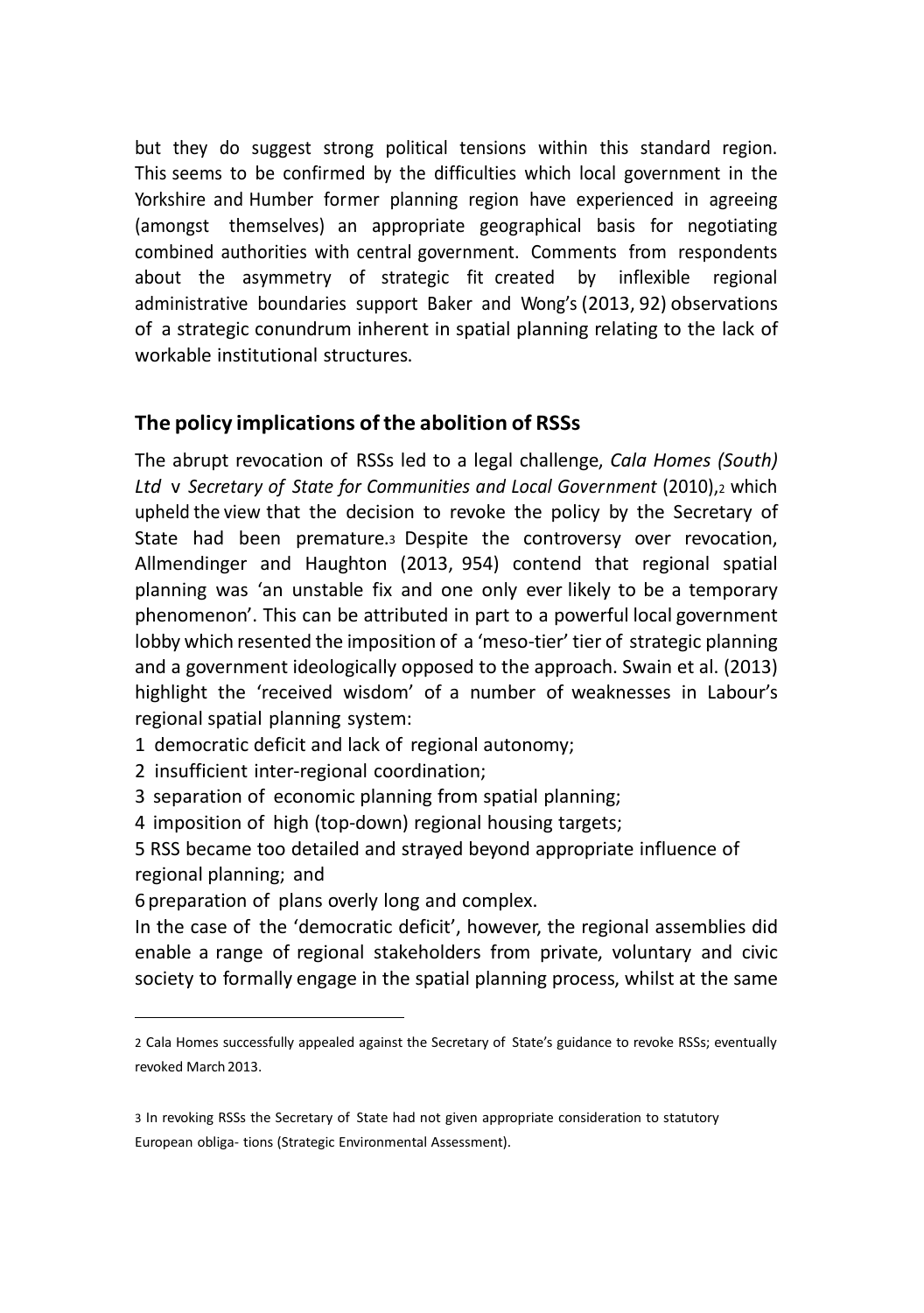but they do suggest strong political tensions within this standard region. This seems to be confirmed by the difficulties which local government in the Yorkshire and Humber former planning region have experienced in agreeing (amongst themselves) an appropriate geographical basis for negotiating combined authorities with central government. Comments from respondents about the asymmetry of strategic fit created by inflexible regional administrative boundaries support Baker and Wong's (2013, 92) observations of a strategic conundrum inherent in spatial planning relating to the lack of workable institutional structures.

# **The policy implications ofthe abolition of RSSs**

The abrupt revocation of RSSs led to a legal challenge, *Cala Homes (South) Ltd* v *Secretary of State for Communities and Local Government* (2010),<sup>2</sup> which upheld the view that the decision to revoke the policy by the Secretary of State had been premature.<sup>3</sup> Despite the controversy over revocation, Allmendinger and Haughton (2013, 954) contend that regional spatial planning was 'an unstable fix and one only ever likely to be a temporary phenomenon'. This can be attributed in part to a powerful local government lobby which resented the imposition of a 'meso-tier' tier of strategic planning and a government ideologically opposed to the approach. Swain et al. (2013) highlight the 'received wisdom' of a number of weaknesses in Labour's regional spatial planning system:

- 1 democratic deficit and lack of regional autonomy;
- 2 insufficient inter-regional coordination;
- 3 separation of economic planning from spatial planning;
- 4 imposition of high (top-down) regional housing targets;
- 5 RSS became too detailed and strayed beyond appropriate influence of regional planning; and

6 preparation of plans overly long and complex.

-

In the case of the 'democratic deficit', however, the regional assemblies did enable a range of regional stakeholders from private, voluntary and civic society to formally engage in the spatial planning process, whilst at the same

<sup>2</sup> Cala Homes successfully appealed against the Secretary of State's guidance to revoke RSSs; eventually revoked March 2013.

<sup>3</sup> In revoking RSSs the Secretary of State had not given appropriate consideration to statutory European obliga- tions (Strategic Environmental Assessment).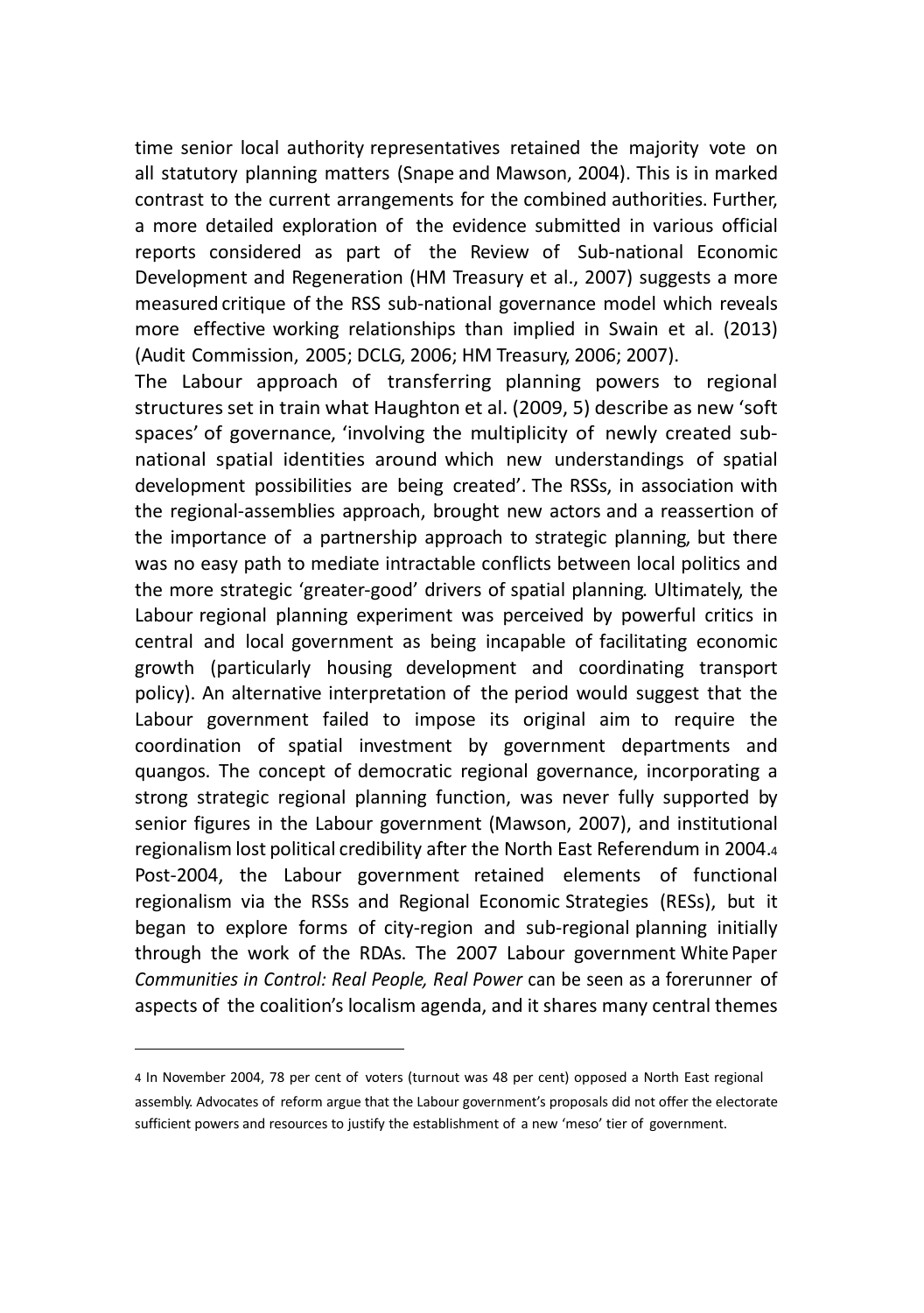time senior local authority representatives retained the majority vote on all statutory planning matters (Snape and Mawson, 2004). This is in marked contrast to the current arrangements for the combined authorities. Further, a more detailed exploration of the evidence submitted in various official reports considered as part of the Review of Sub-national Economic Development and Regeneration (HM Treasury et al., 2007) suggests a more measured critique of the RSS sub-national governance model which reveals more effective working relationships than implied in Swain et al. (2013) (Audit Commission, 2005; DCLG, 2006; HM Treasury, 2006; 2007).

The Labour approach of transferring planning powers to regional structures set in train what Haughton et al. (2009, 5) describe as new 'soft spaces' of governance, 'involving the multiplicity of newly created subnational spatial identities around which new understandings of spatial development possibilities are being created'. The RSSs, in association with the regional-assemblies approach, brought new actors and a reassertion of the importance of a partnership approach to strategic planning, but there was no easy path to mediate intractable conflicts between local politics and the more strategic 'greater-good' drivers of spatial planning. Ultimately, the Labour regional planning experiment was perceived by powerful critics in central and local government as being incapable of facilitating economic growth (particularly housing development and coordinating transport policy). An alternative interpretation of the period would suggest that the Labour government failed to impose its original aim to require the coordination of spatial investment by government departments and quangos. The concept of democratic regional governance, incorporating a strong strategic regional planning function, was never fully supported by senior figures in the Labour government (Mawson, 2007), and institutional regionalism lost political credibility after the North East Referendum in 2004.<sup>4</sup> Post-2004, the Labour government retained elements of functional regionalism via the RSSs and Regional Economic Strategies (RESs), but it began to explore forms of city-region and sub-regional planning initially through the work of the RDAs. The 2007 Labour government White Paper *Communities in Control: Real People, Real Power* can be seen as a forerunner of aspects of the coalition's localism agenda, and it shares many central themes

-

<sup>4</sup> In November 2004, 78 per cent of voters (turnout was 48 per cent) opposed a North East regional assembly. Advocates of reform argue that the Labour government's proposals did not offer the electorate sufficient powers and resources to justify the establishment of a new 'meso' tier of government.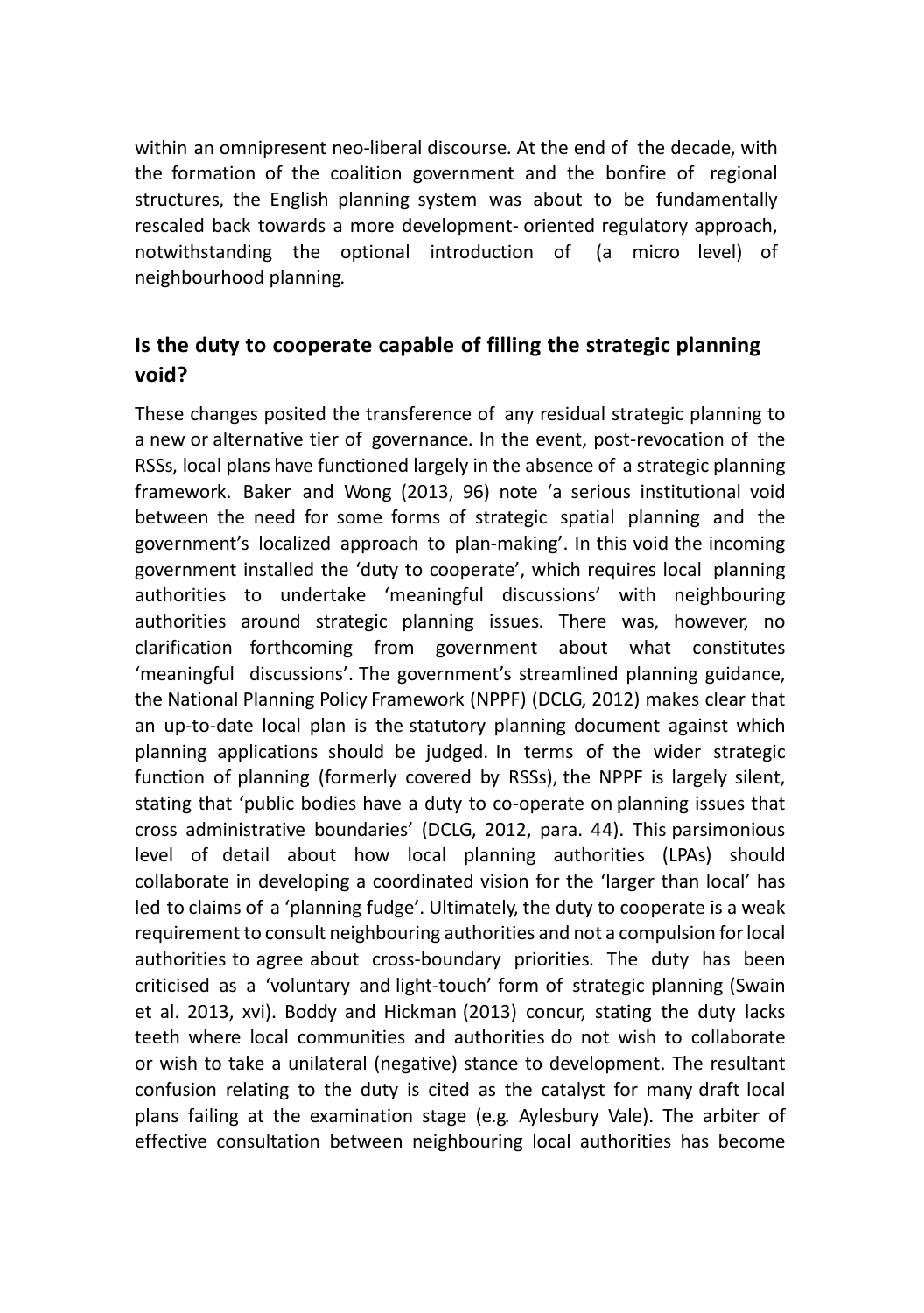within an omnipresent neo-liberal discourse. At the end of the decade, with the formation of the coalition government and the bonfire of regional structures, the English planning system was about to be fundamentally rescaled back towards a more development- oriented regulatory approach, notwithstanding the optional introduction of (a micro level) of neighbourhood planning.

# **Is the duty to cooperate capable of filling the strategic planning void?**

These changes posited the transference of any residual strategic planning to a new or alternative tier of governance. In the event, post-revocation of the RSSs, local plans have functioned largely in the absence of a strategic planning framework. Baker and Wong (2013, 96) note 'a serious institutional void between the need for some forms of strategic spatial planning and the government's localized approach to plan-making'. In this void the incoming government installed the 'duty to cooperate', which requires local planning authorities to undertake 'meaningful discussions' with neighbouring authorities around strategic planning issues. There was, however, no clarification forthcoming from government about what constitutes 'meaningful discussions'. The government's streamlined planning guidance, the National Planning Policy Framework (NPPF) (DCLG, 2012) makes clear that an up-to-date local plan is the statutory planning document against which planning applications should be judged. In terms of the wider strategic function of planning (formerly covered by RSSs), the NPPF is largely silent, stating that 'public bodies have a duty to co-operate on planning issues that cross administrative boundaries' (DCLG, 2012, para. 44). This parsimonious level of detail about how local planning authorities (LPAs) should collaborate in developing a coordinated vision for the 'larger than local' has led to claims of a 'planning fudge'. Ultimately, the duty to cooperate is a weak requirement to consult neighbouring authorities and not a compulsion forlocal authorities to agree about cross-boundary priorities. The duty has been criticised as a 'voluntary and light-touch' form of strategic planning (Swain et al. 2013, xvi). Boddy and Hickman (2013) concur, stating the duty lacks teeth where local communities and authorities do not wish to collaborate or wish to take a unilateral (negative) stance to development. The resultant confusion relating to the duty is cited as the catalyst for many draft local plans failing at the examination stage (e.g. Aylesbury Vale). The arbiter of effective consultation between neighbouring local authorities has become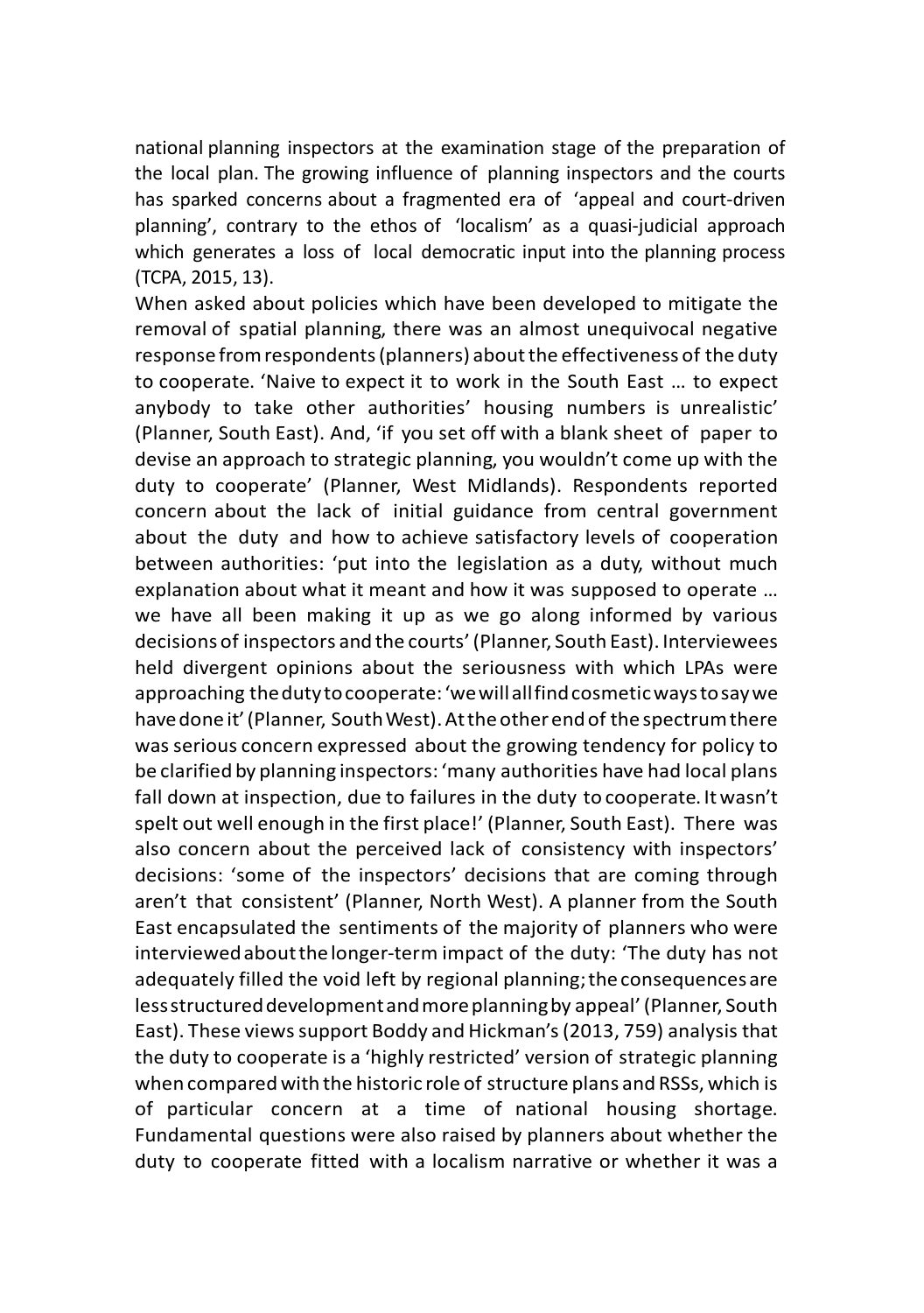national planning inspectors at the examination stage of the preparation of the local plan. The growing influence of planning inspectors and the courts has sparked concerns about a fragmented era of 'appeal and court-driven planning', contrary to the ethos of 'localism' as a quasi-judicial approach which generates a loss of local democratic input into the planning process (TCPA, 2015, 13).

When asked about policies which have been developed to mitigate the removal of spatial planning, there was an almost unequivocal negative response fromrespondents(planners) aboutthe effectiveness of the duty to cooperate. 'Naive to expect it to work in the South East … to expect anybody to take other authorities' housing numbers is unrealistic' (Planner, South East). And, 'if you set off with a blank sheet of paper to devise an approach to strategic planning, you wouldn't come up with the duty to cooperate' (Planner, West Midlands). Respondents reported concern about the lack of initial guidance from central government about the duty and how to achieve satisfactory levels of cooperation between authorities: 'put into the legislation as a duty, without much explanation about what it meant and how it was supposed to operate … we have all been making it up as we go along informed by various decisions of inspectors and the courts'(Planner, South East). Interviewees held divergent opinions about the seriousness with which LPAs were approaching thedutytocooperate:'wewillallfindcosmeticwaystosaywe have done it' (Planner, South West). At the other end of the spectrum there wasserious concern expressed about the growing tendency for policy to be clarified by planning inspectors: 'many authorities have had local plans fall down at inspection, due to failures in the duty to cooperate. Itwasn't spelt out well enough in the first place!' (Planner, South East). There was also concern about the perceived lack of consistency with inspectors' decisions: 'some of the inspectors' decisions that are coming through aren't that consistent' (Planner, North West). A planner from the South East encapsulated the sentiments of the majority of planners who were interviewedaboutthelonger-term impact of the duty: 'The duty has not adequately filled the void left by regional planning;theconsequencesare lessstructureddevelopmentandmoreplanningby appeal'(Planner, South East). These viewssupport Boddy and Hickman's(2013, 759) analysis that the duty to cooperate is a 'highly restricted' version of strategic planning when compared with the historic role of structure plans and RSSs, which is of particular concern at a time of national housing shortage. Fundamental questions were also raised by planners about whether the duty to cooperate fitted with a localism narrative or whether it was a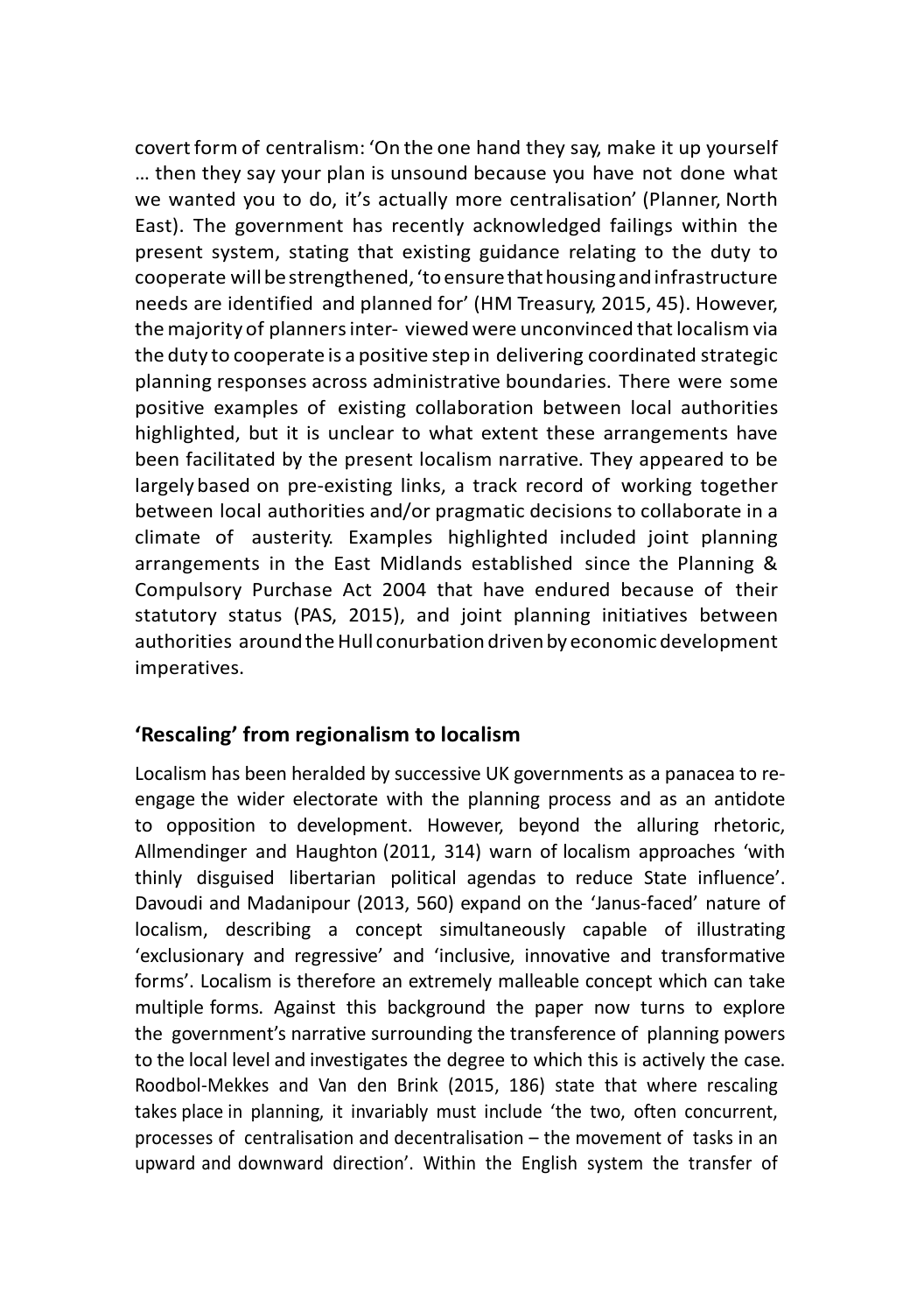covert form of centralism: 'On the one hand they say, make it up yourself … then they say your plan is unsound because you have not done what we wanted you to do, it's actually more centralisation' (Planner, North East). The government has recently acknowledged failings within the present system, stating that existing guidance relating to the duty to cooperate willbestrengthened,'toensurethathousingandinfrastructure needs are identified and planned for' (HM Treasury, 2015, 45). However, themajority of plannersinter- viewedwere unconvinced thatlocalism via the duty to cooperate is a positive step in delivering coordinated strategic planning responses across administrative boundaries. There were some positive examples of existing collaboration between local authorities highlighted, but it is unclear to what extent these arrangements have been facilitated by the present localism narrative. They appeared to be largely based on pre-existing links, a track record of working together between local authorities and/or pragmatic decisions to collaborate in a climate of austerity. Examples highlighted included joint planning arrangements in the East Midlands established since the Planning & Compulsory Purchase Act 2004 that have endured because of their statutory status (PAS, 2015), and joint planning initiatives between authorities around the Hull conurbation driven by economic development imperatives.

# **'Rescaling' from regionalism to localism**

Localism has been heralded by successive UK governments as a panacea to reengage the wider electorate with the planning process and as an antidote to opposition to development. However, beyond the alluring rhetoric, Allmendinger and Haughton (2011, 314) warn of localism approaches 'with thinly disguised libertarian political agendas to reduce State influence'. Davoudi and Madanipour (2013, 560) expand on the 'Janus-faced' nature of localism, describing a concept simultaneously capable of illustrating 'exclusionary and regressive' and 'inclusive, innovative and transformative forms'. Localism is therefore an extremely malleable concept which can take multiple forms. Against this background the paper now turns to explore the government's narrative surrounding the transference of planning powers to the local level and investigates the degree to which this is actively the case. Roodbol-Mekkes and Van den Brink (2015, 186) state that where rescaling takes place in planning, it invariably must include 'the two, often concurrent, processes of centralisation and decentralisation – the movement of tasks in an upward and downward direction'. Within the English system the transfer of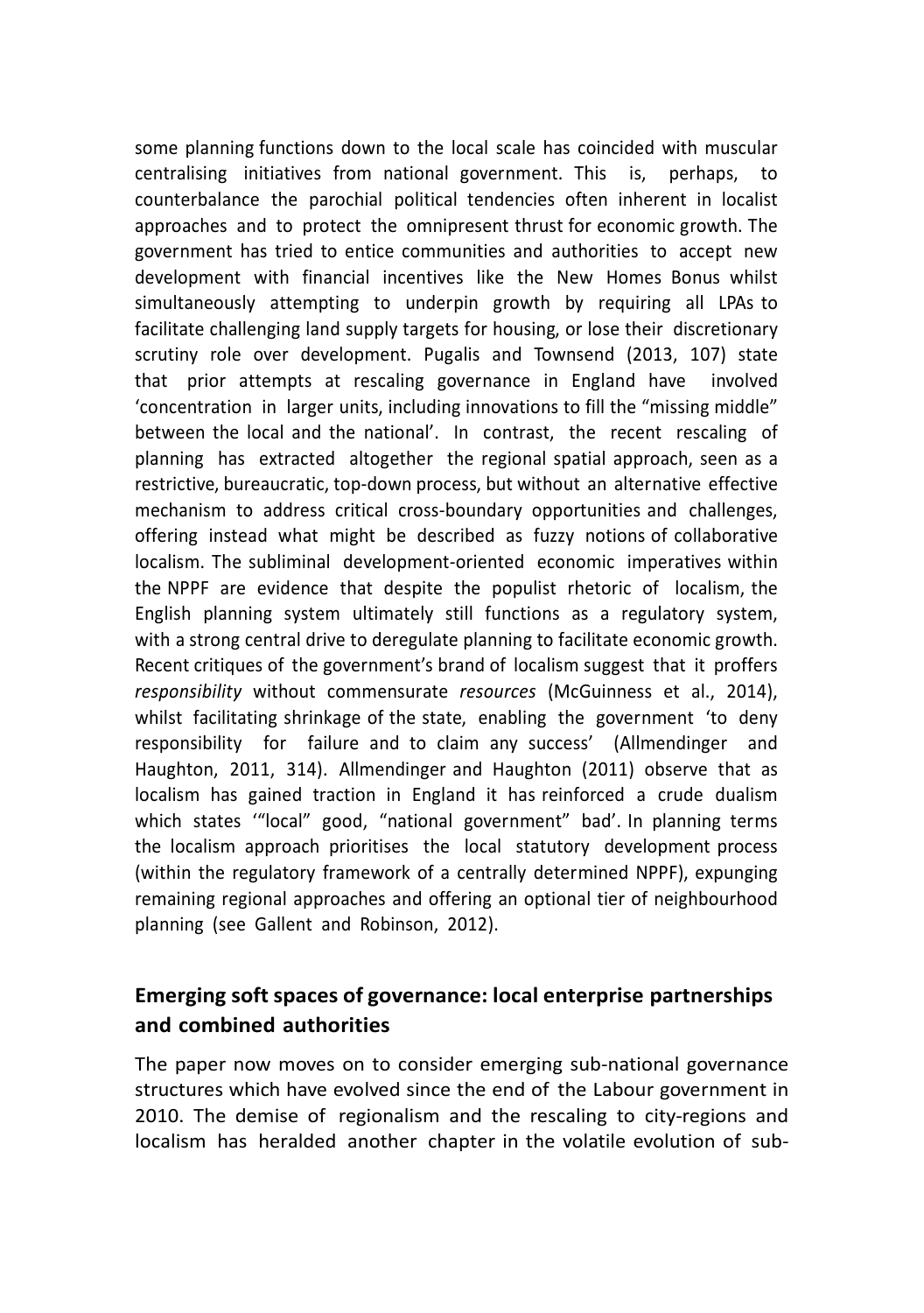some planning functions down to the local scale has coincided with muscular centralising initiatives from national government. This is, perhaps, to counterbalance the parochial political tendencies often inherent in localist approaches and to protect the omnipresent thrust for economic growth. The government has tried to entice communities and authorities to accept new development with financial incentives like the New Homes Bonus whilst simultaneously attempting to underpin growth by requiring all LPAs to facilitate challenging land supply targets for housing, or lose their discretionary scrutiny role over development. Pugalis and Townsend (2013, 107) state that prior attempts at rescaling governance in England have involved 'concentration in larger units, including innovations to fill the "missing middle" between the local and the national'. In contrast, the recent rescaling of planning has extracted altogether the regional spatial approach, seen as a restrictive, bureaucratic, top-down process, but without an alternative effective mechanism to address critical cross-boundary opportunities and challenges, offering instead what might be described as fuzzy notions of collaborative localism. The subliminal development-oriented economic imperatives within the NPPF are evidence that despite the populist rhetoric of localism, the English planning system ultimately still functions as a regulatory system, with a strong central drive to deregulate planning to facilitate economic growth. Recent critiques of the government's brand of localism suggest that it proffers *responsibility* without commensurate *resources* (McGuinness et al., 2014), whilst facilitating shrinkage of the state, enabling the government 'to deny responsibility for failure and to claim any success' (Allmendinger and Haughton, 2011, 314). Allmendinger and Haughton (2011) observe that as localism has gained traction in England it has reinforced a crude dualism which states '"local" good, "national government" bad'. In planning terms the localism approach prioritises the local statutory development process (within the regulatory framework of a centrally determined NPPF), expunging remaining regional approaches and offering an optional tier of neighbourhood planning (see Gallent and Robinson, 2012).

# **Emerging soft spaces of governance: local enterprise partnerships and combined authorities**

The paper now moves on to consider emerging sub-national governance structures which have evolved since the end of the Labour government in 2010. The demise of regionalism and the rescaling to city-regions and localism has heralded another chapter in the volatile evolution of sub-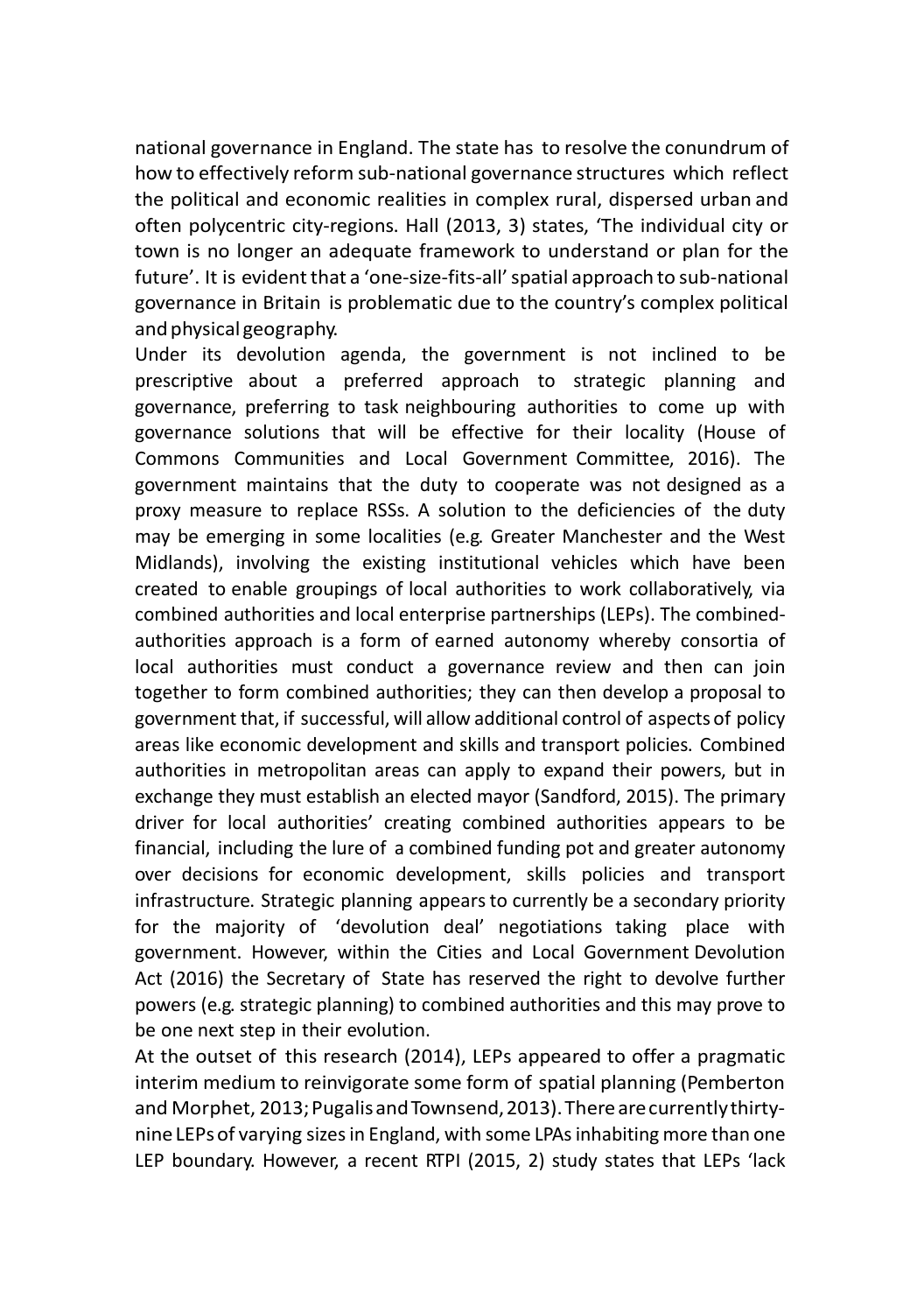national governance in England. The state has to resolve the conundrum of how to effectively reform sub-national governance structures which reflect the political and economic realities in complex rural, dispersed urban and often polycentric city-regions. Hall (2013, 3) states, 'The individual city or town is no longer an adequate framework to understand or plan for the future'. It is evident that a 'one-size-fits-all' spatial approach to sub-national governance in Britain is problematic due to the country's complex political and physical geography.

Under its devolution agenda, the government is not inclined to be prescriptive about a preferred approach to strategic planning and governance, preferring to task neighbouring authorities to come up with governance solutions that will be effective for their locality (House of Commons Communities and Local Government Committee, 2016). The government maintains that the duty to cooperate was not designed as a proxy measure to replace RSSs. A solution to the deficiencies of the duty may be emerging in some localities (e.g. Greater Manchester and the West Midlands), involving the existing institutional vehicles which have been created to enable groupings of local authorities to work collaboratively, via combined authorities and local enterprise partnerships (LEPs). The combinedauthorities approach is a form of earned autonomy whereby consortia of local authorities must conduct a governance review and then can join together to form combined authorities; they can then develop a proposal to government that, if successful, will allow additional control of aspects of policy areas like economic development and skills and transport policies. Combined authorities in metropolitan areas can apply to expand their powers, but in exchange they must establish an elected mayor (Sandford, 2015). The primary driver for local authorities' creating combined authorities appears to be financial, including the lure of a combined funding pot and greater autonomy over decisions for economic development, skills policies and transport infrastructure. Strategic planning appearsto currently be a secondary priority for the majority of 'devolution deal' negotiations taking place with government. However, within the Cities and Local Government Devolution Act (2016) the Secretary of State has reserved the right to devolve further powers (e.g. strategic planning) to combined authorities and this may prove to be one next step in their evolution.

At the outset of this research (2014), LEPs appeared to offer a pragmatic interim medium to reinvigorate some form of spatial planning (Pemberton and Morphet, 2013; Pugalis and Townsend, 2013). There are currently thirtynine LEPs of varying sizes in England, with some LPAs inhabiting more than one LEP boundary. However, a recent RTPI (2015, 2) study states that LEPs 'lack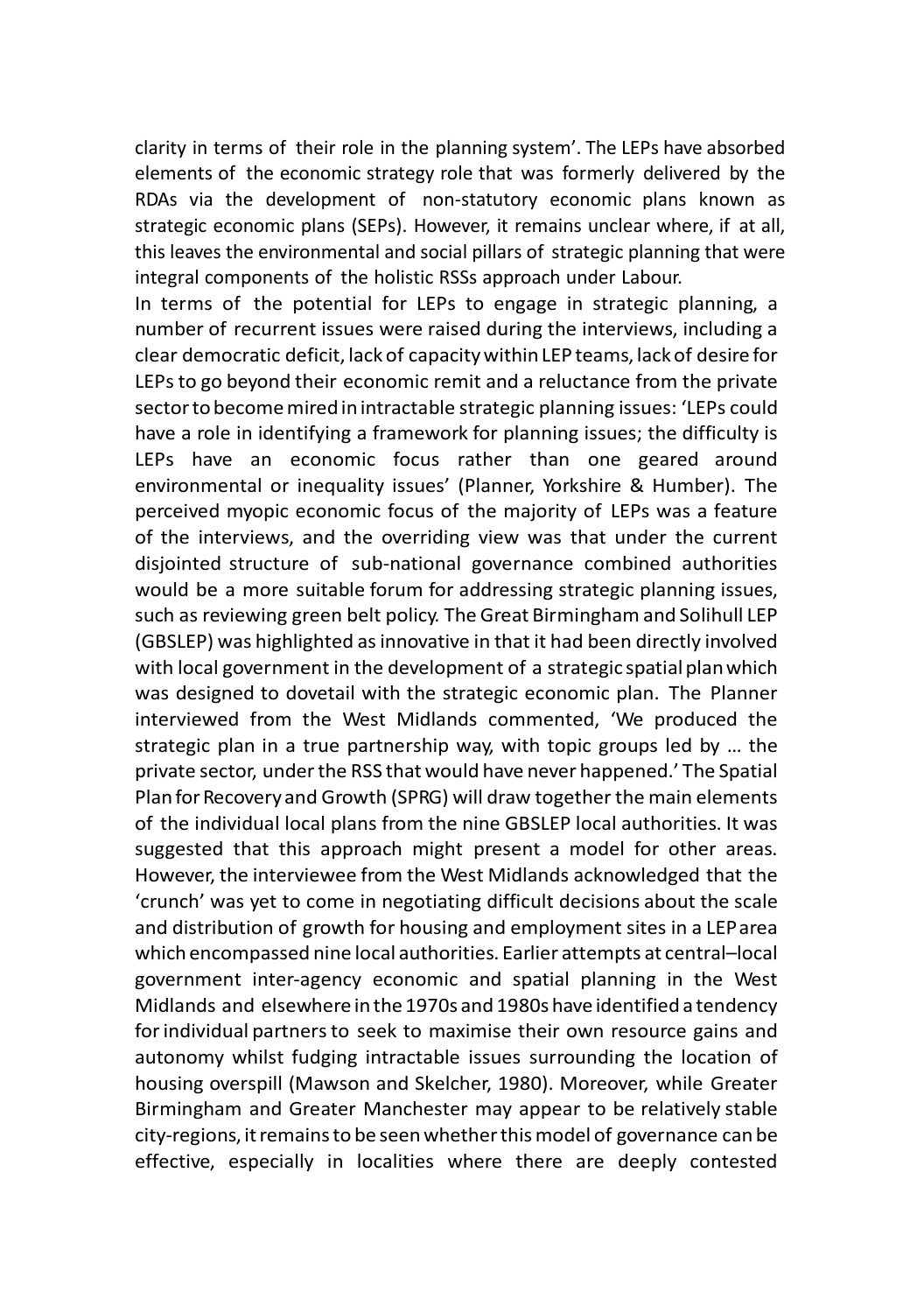clarity in terms of their role in the planning system'. The LEPs have absorbed elements of the economic strategy role that was formerly delivered by the RDAs via the development of non-statutory economic plans known as strategic economic plans (SEPs). However, it remains unclear where, if at all, this leaves the environmental and social pillars of strategic planning that were integral components of the holistic RSSs approach under Labour.

In terms of the potential for LEPs to engage in strategic planning, a number of recurrent issues were raised during the interviews, including a clear democratic deficit, lack of capacitywithin LEP teams, lackof desire for LEPs to go beyond their economic remit and a reluctance from the private sector to become mired in intractable strategic planning issues: 'LEPs could have a role in identifying a framework for planning issues; the difficulty is LEPs have an economic focus rather than one geared around environmental or inequality issues' (Planner, Yorkshire & Humber). The perceived myopic economic focus of the majority of LEPs was a feature of the interviews, and the overriding view was that under the current disjointed structure of sub-national governance combined authorities would be a more suitable forum for addressing strategic planning issues, such as reviewing green belt policy. The Great Birmingham and Solihull LEP (GBSLEP) was highlighted asinnovative in that it had been directly involved with local government in the development of a strategic spatial plan which was designed to dovetail with the strategic economic plan. The Planner interviewed from the West Midlands commented, 'We produced the strategic plan in a true partnership way, with topic groups led by … the private sector, under the RSS that would have never happened.' The Spatial Plan for Recovery and Growth (SPRG) will draw together the main elements of the individual local plans from the nine GBSLEP local authorities. It was suggested that this approach might present a model for other areas. However, the interviewee from the West Midlands acknowledged that the 'crunch' was yet to come in negotiating difficult decisions about the scale and distribution of growth for housing and employment sites in a LEParea which encompassed nine local authorities. Earlier attempts at central–local government inter-agency economic and spatial planning in the West Midlands and elsewhere inthe 1970s and 1980shave identifieda tendency for individual partners to seek to maximise their own resource gains and autonomy whilst fudging intractable issues surrounding the location of housing overspill (Mawson and Skelcher, 1980). Moreover, while Greater Birmingham and Greater Manchester may appear to be relatively stable city-regions, it remains to be seen whether this model of governance can be effective, especially in localities where there are deeply contested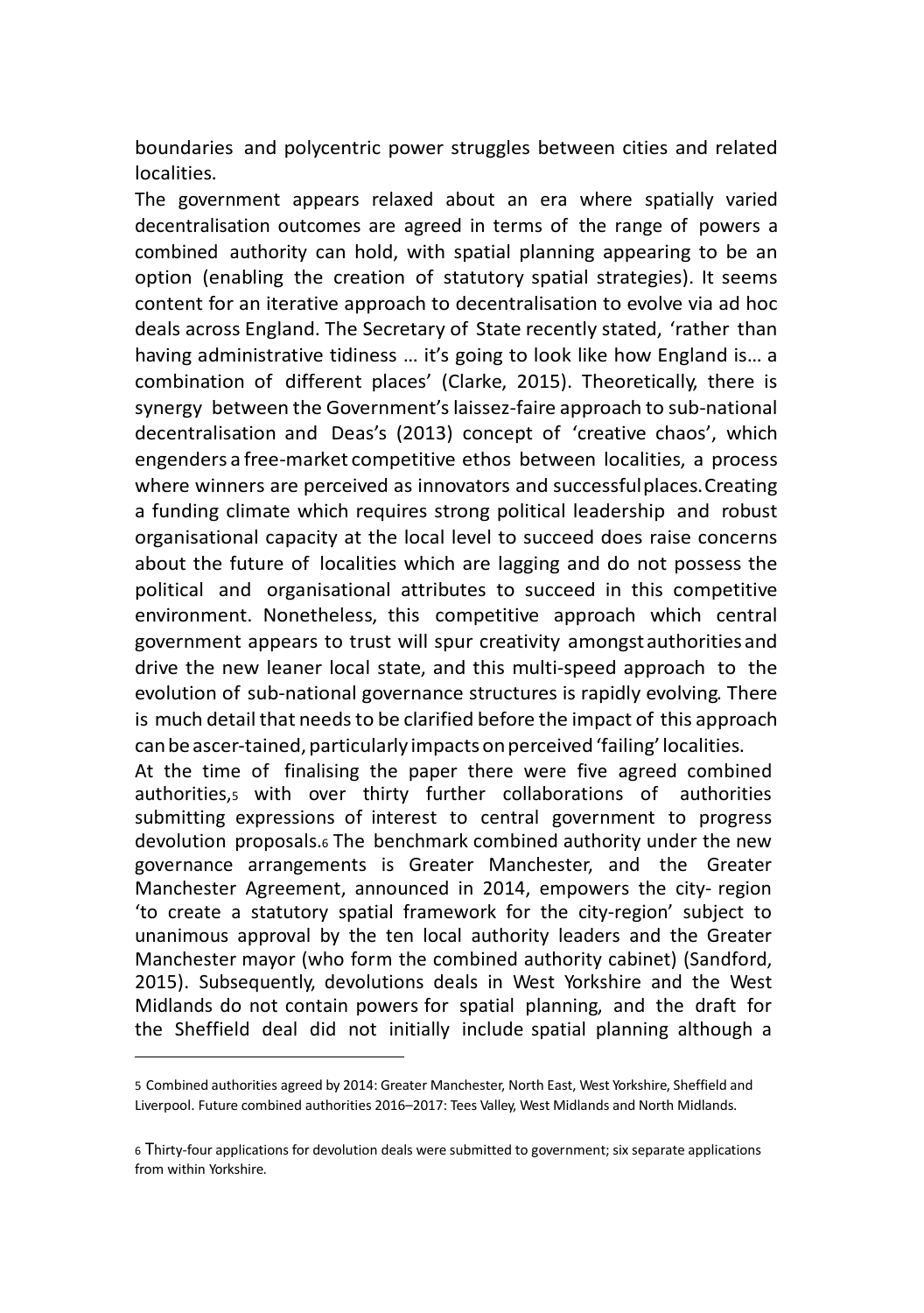boundaries and polycentric power struggles between cities and related localities.

The government appears relaxed about an era where spatially varied decentralisation outcomes are agreed in terms of the range of powers a combined authority can hold, with spatial planning appearing to be an option (enabling the creation of statutory spatial strategies). It seems content for an iterative approach to decentralisation to evolve via ad hoc deals across England. The Secretary of State recently stated, 'rather than having administrative tidiness … it's going to look like how England is… a combination of different places' (Clarke, 2015). Theoretically, there is synergy between the Government'slaissez-faire approach to sub-national decentralisation and Deas's (2013) concept of 'creative chaos', which engenders a free-market competitive ethos between localities, a process where winners are perceived as innovators and successfulplaces.Creating a funding climate which requires strong political leadership and robust organisational capacity at the local level to succeed does raise concerns about the future of localities which are lagging and do not possess the political and organisational attributes to succeed in this competitive environment. Nonetheless, this competitive approach which central government appears to trust will spur creativity amongstauthoritiesand drive the new leaner local state, and this multi-speed approach to the evolution of sub-national governance structures is rapidly evolving. There is much detail that needs to be clarified before the impact of this approach can be ascer-tained, particularly impacts on perceived 'failing' localities.

At the time of finalising the paper there were five agreed combined authorities,<sup>5</sup> with over thirty further collaborations of authorities submitting expressions of interest to central government to progress devolution proposals.<sup>6</sup> The benchmark combined authority under the new governance arrangements is Greater Manchester, and the Greater Manchester Agreement, announced in 2014, empowers the city- region 'to create a statutory spatial framework for the city-region' subject to unanimous approval by the ten local authority leaders and the Greater Manchester mayor (who form the combined authority cabinet) (Sandford, 2015). Subsequently, devolutions deals in West Yorkshire and the West Midlands do not contain powers for spatial planning, and the draft for the Sheffield deal did not initially include spatial planning although a

-

<sup>5</sup> Combined authorities agreed by 2014: Greater Manchester, North East, West Yorkshire, Sheffield and Liverpool. Future combined authorities 2016–2017: Tees Valley, West Midlands and North Midlands.

<sup>6</sup> Thirty-four applications for devolution deals were submitted to government; six separate applications from within Yorkshire.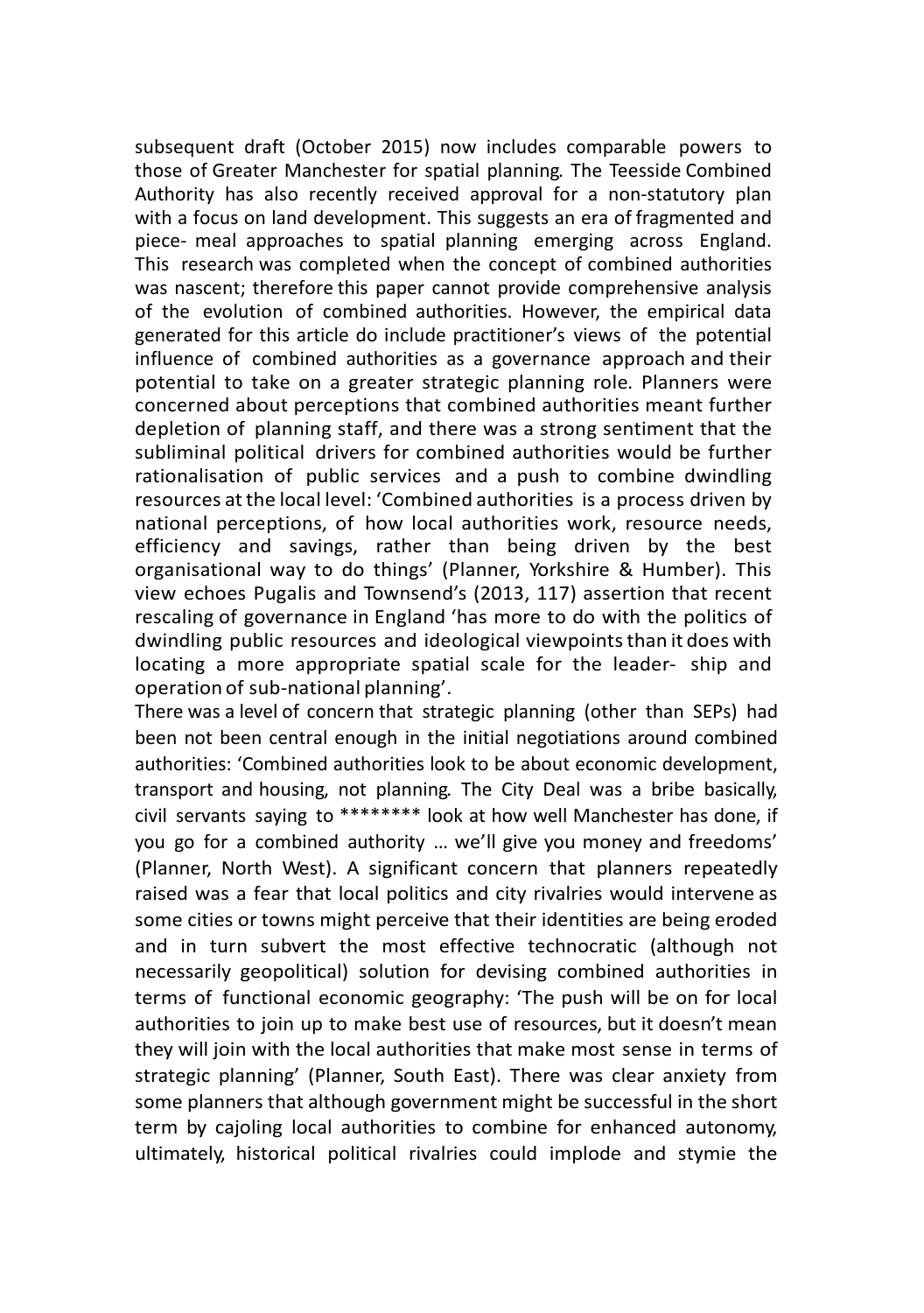subsequent draft (October 2015) now includes comparable powers to those of Greater Manchester for spatial planning. The Teesside Combined Authority has also recently received approval for a non-statutory plan with a focus on land development. This suggests an era of fragmented and piece- meal approaches to spatial planning emerging across England. This research was completed when the concept of combined authorities was nascent; therefore this paper cannot provide comprehensive analysis of the evolution of combined authorities. However, the empirical data generated for this article do include practitioner's views of the potential influence of combined authorities as a governance approach and their potential to take on a greater strategic planning role. Planners were concerned about perceptions that combined authorities meant further depletion of planning staff, and there was a strong sentiment that the subliminal political drivers for combined authorities would be further rationalisation of public services and a push to combine dwindling resources at the local level: 'Combined authorities is a process driven by national perceptions, of how local authorities work, resource needs, efficiency and savings, rather than being driven by the best organisational way to do things' (Planner, Yorkshire & Humber). This view echoes Pugalis and Townsend's (2013, 117) assertion that recent rescaling of governance in England 'has more to do with the politics of dwindling public resources and ideological viewpointsthan it does with locating a more appropriate spatial scale for the leader- ship and operation of sub-national planning'.

There was a level of concern that strategic planning (other than SEPs) had been not been central enough in the initial negotiations around combined authorities: 'Combined authorities look to be about economic development, transport and housing, not planning. The City Deal was a bribe basically, civil servants saying to \*\*\*\*\*\*\*\* look at how well Manchester has done, if you go for a combined authority … we'll give you money and freedoms' (Planner, North West). A significant concern that planners repeatedly raised was a fear that local politics and city rivalries would intervene as some cities or towns might perceive that their identities are being eroded and in turn subvert the most effective technocratic (although not necessarily geopolitical) solution for devising combined authorities in terms of functional economic geography: 'The push will be on for local authorities to join up to make best use of resources, but it doesn't mean they will join with the local authorities that make most sense in terms of strategic planning' (Planner, South East). There was clear anxiety from some planners that although government might be successful in the short term by cajoling local authorities to combine for enhanced autonomy, ultimately, historical political rivalries could implode and stymie the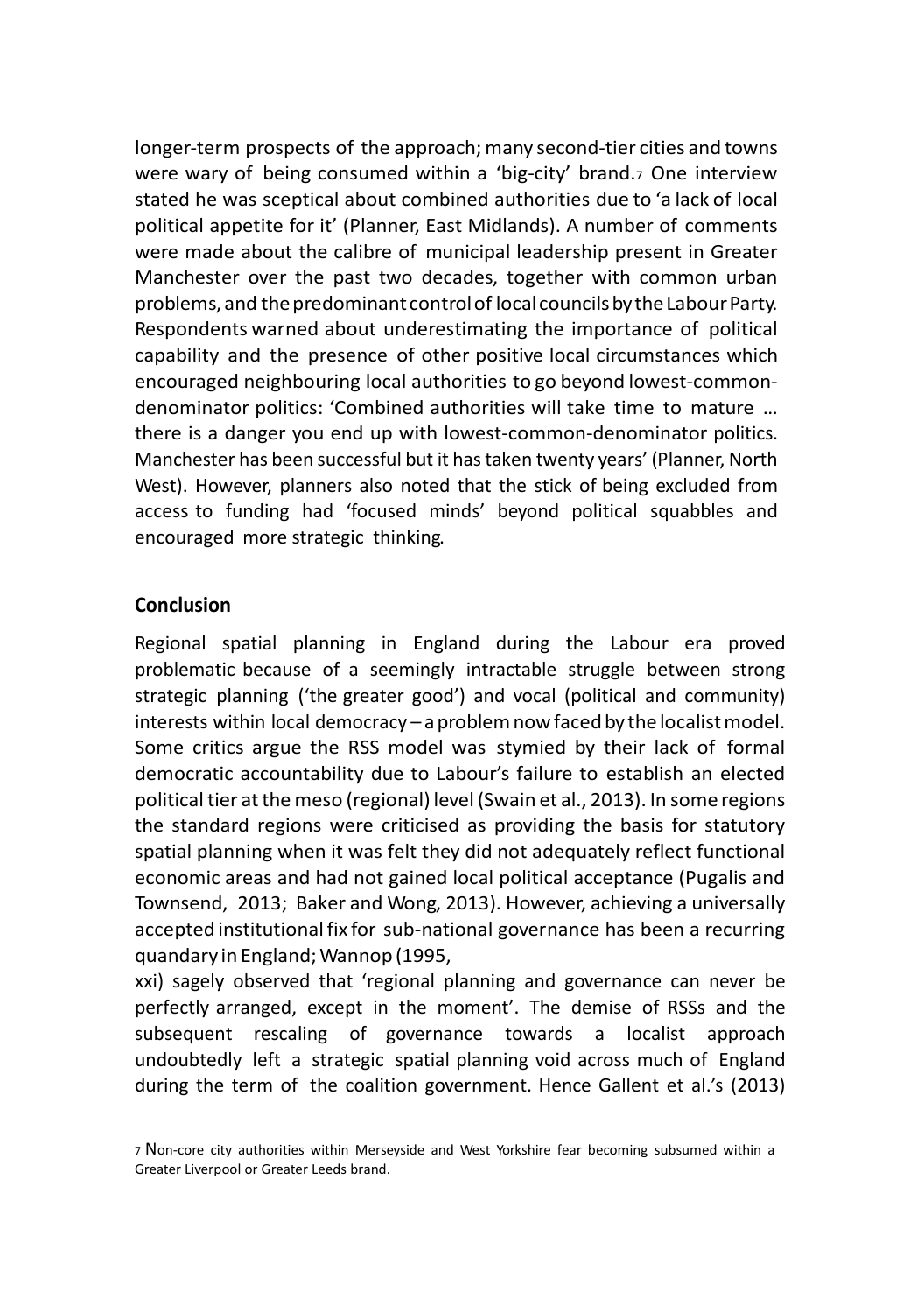longer-term prospects of the approach; many second-tier cities and towns were wary of being consumed within a 'big-city' brand.7 One interview stated he was sceptical about combined authorities due to 'a lack of local political appetite for it' (Planner, East Midlands). A number of comments were made about the calibre of municipal leadership present in Greater Manchester over the past two decades, together with common urban problems, and the predominant control of local councils by the Labour Party. Respondents warned about underestimating the importance of political capability and the presence of other positive local circumstances which encouraged neighbouring local authorities to go beyond lowest-commondenominator politics: 'Combined authorities will take time to mature … there is a danger you end up with lowest-common-denominator politics. Manchester has been successful but it hastaken twenty years' (Planner, North West). However, planners also noted that the stick of being excluded from access to funding had 'focused minds' beyond political squabbles and encouraged more strategic thinking.

#### **Conclusion**

1

Regional spatial planning in England during the Labour era proved problematic because of a seemingly intractable struggle between strong strategic planning ('the greater good') and vocal (political and community) interests within local democracy  $-a$  problem now faced by the localist model. Some critics argue the RSS model was stymied by their lack of formal democratic accountability due to Labour's failure to establish an elected political tier at the meso (regional) level (Swain et al., 2013). In some regions the standard regions were criticised as providing the basis for statutory spatial planning when it was felt they did not adequately reflect functional economic areas and had not gained local political acceptance (Pugalis and Townsend, 2013; Baker and Wong, 2013). However, achieving a universally accepted institutional fix for sub-national governance has been a recurring quandary in England;Wannop (1995,

xxi) sagely observed that 'regional planning and governance can never be perfectly arranged, except in the moment'. The demise of RSSs and the subsequent rescaling of governance towards a localist approach undoubtedly left a strategic spatial planning void across much of England during the term of the coalition government. Hence Gallent et al.'s (2013)

<sup>7</sup> Non-core city authorities within Merseyside and West Yorkshire fear becoming subsumed within a Greater Liverpool or Greater Leeds brand.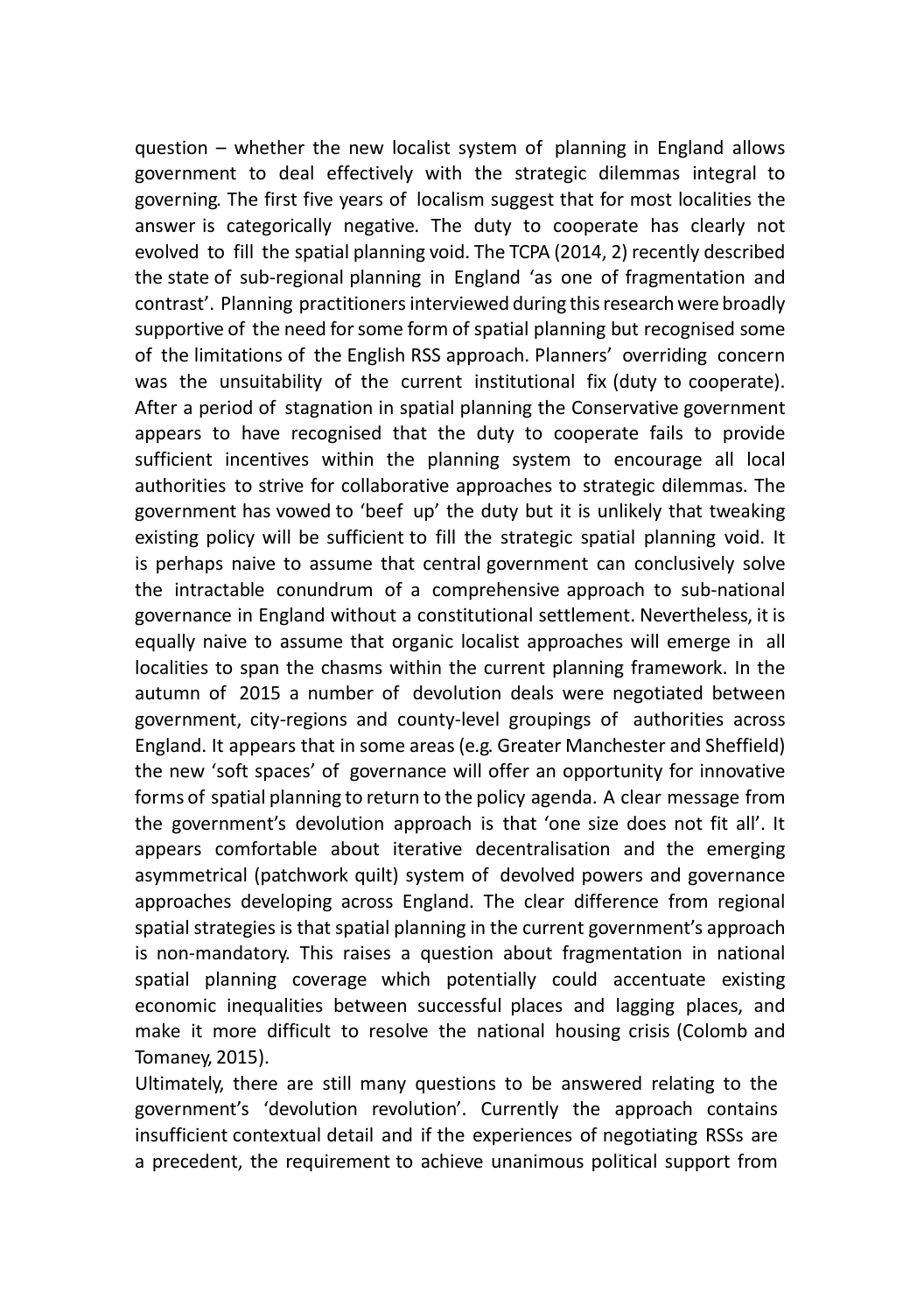question – whether the new localist system of planning in England allows government to deal effectively with the strategic dilemmas integral to governing. The first five years of localism suggest that for most localities the answer is categorically negative. The duty to cooperate has clearly not evolved to fill the spatial planning void. The TCPA (2014, 2) recently described the state of sub-regional planning in England 'as one of fragmentation and contrast'. Planning practitionersinterviewed during thisresearchwere broadly supportive of the need for some form of spatial planning but recognised some of the limitations of the English RSS approach. Planners' overriding concern was the unsuitability of the current institutional fix (duty to cooperate). After a period of stagnation in spatial planning the Conservative government appears to have recognised that the duty to cooperate fails to provide sufficient incentives within the planning system to encourage all local authorities to strive for collaborative approaches to strategic dilemmas. The government has vowed to 'beef up' the duty but it is unlikely that tweaking existing policy will be sufficient to fill the strategic spatial planning void. It is perhaps naive to assume that central government can conclusively solve the intractable conundrum of a comprehensive approach to sub-national governance in England without a constitutional settlement. Nevertheless, it is equally naive to assume that organic localist approaches will emerge in all localities to span the chasms within the current planning framework. In the autumn of 2015 a number of devolution deals were negotiated between government, city-regions and county-level groupings of authorities across England. It appears that in some areas (e.g. Greater Manchester and Sheffield) the new 'soft spaces' of governance will offer an opportunity for innovative forms of spatial planning to return to the policy agenda. A clear message from the government's devolution approach is that 'one size does not fit all'. It appears comfortable about iterative decentralisation and the emerging asymmetrical (patchwork quilt) system of devolved powers and governance approaches developing across England. The clear difference from regional spatial strategies is that spatial planning in the current government's approach is non-mandatory. This raises a question about fragmentation in national spatial planning coverage which potentially could accentuate existing economic inequalities between successful places and lagging places, and make it more difficult to resolve the national housing crisis (Colomb and Tomaney, 2015).

Ultimately, there are still many questions to be answered relating to the government's 'devolution revolution'. Currently the approach contains insufficient contextual detail and if the experiences of negotiating RSSs are a precedent, the requirement to achieve unanimous political support from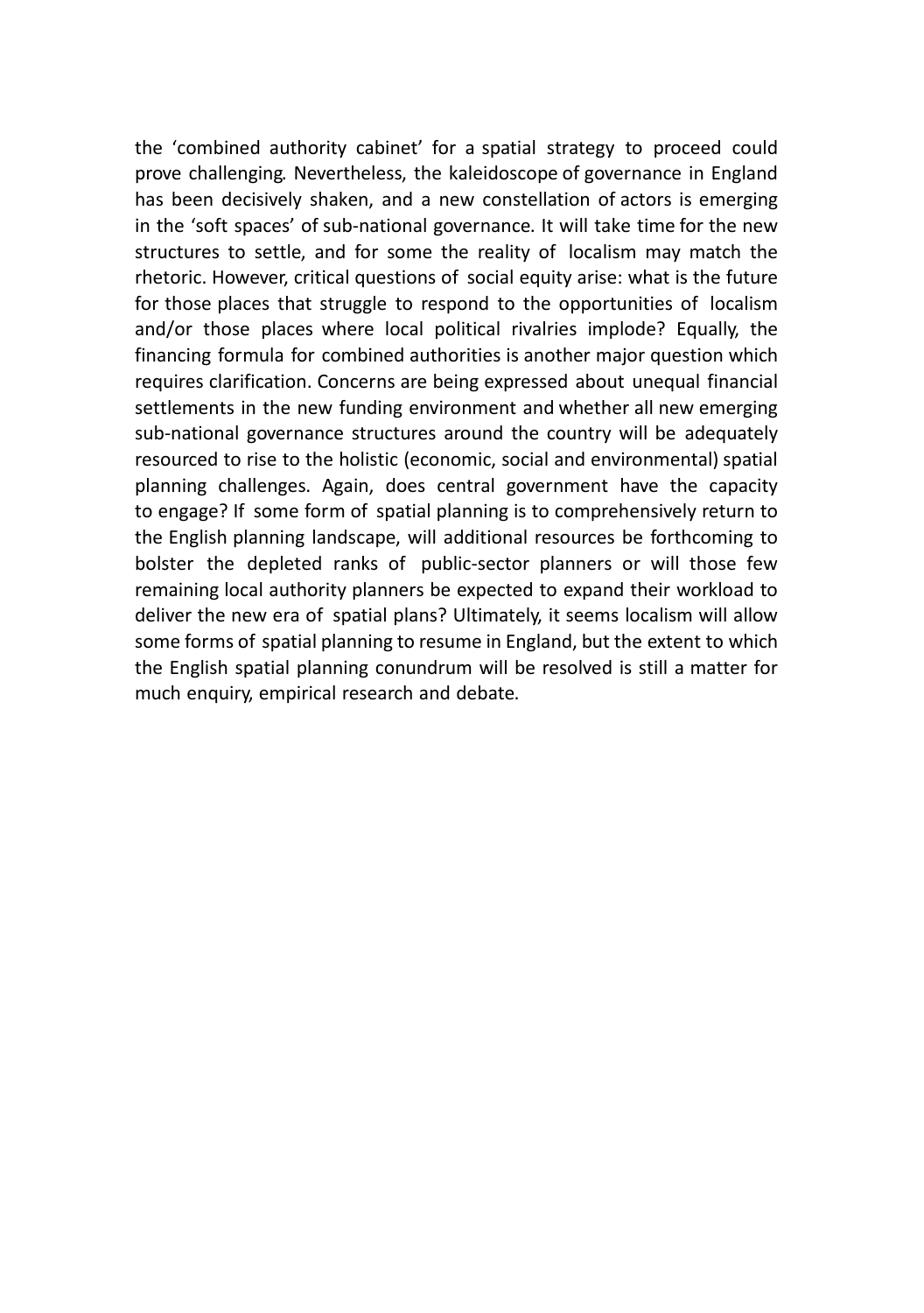the 'combined authority cabinet' for a spatial strategy to proceed could prove challenging. Nevertheless, the kaleidoscope of governance in England has been decisively shaken, and a new constellation of actors is emerging in the 'soft spaces' of sub-national governance. It will take time for the new structures to settle, and for some the reality of localism may match the rhetoric. However, critical questions of social equity arise: what is the future for those places that struggle to respond to the opportunities of localism and/or those places where local political rivalries implode? Equally, the financing formula for combined authorities is another major question which requires clarification. Concerns are being expressed about unequal financial settlements in the new funding environment and whether all new emerging sub-national governance structures around the country will be adequately resourced to rise to the holistic (economic, social and environmental) spatial planning challenges. Again, does central government have the capacity to engage? If some form of spatial planning is to comprehensively return to the English planning landscape, will additional resources be forthcoming to bolster the depleted ranks of public-sector planners or will those few remaining local authority planners be expected to expand their workload to deliver the new era of spatial plans? Ultimately, it seems localism will allow some forms of spatial planning to resume in England, but the extent to which the English spatial planning conundrum will be resolved is still a matter for much enquiry, empirical research and debate.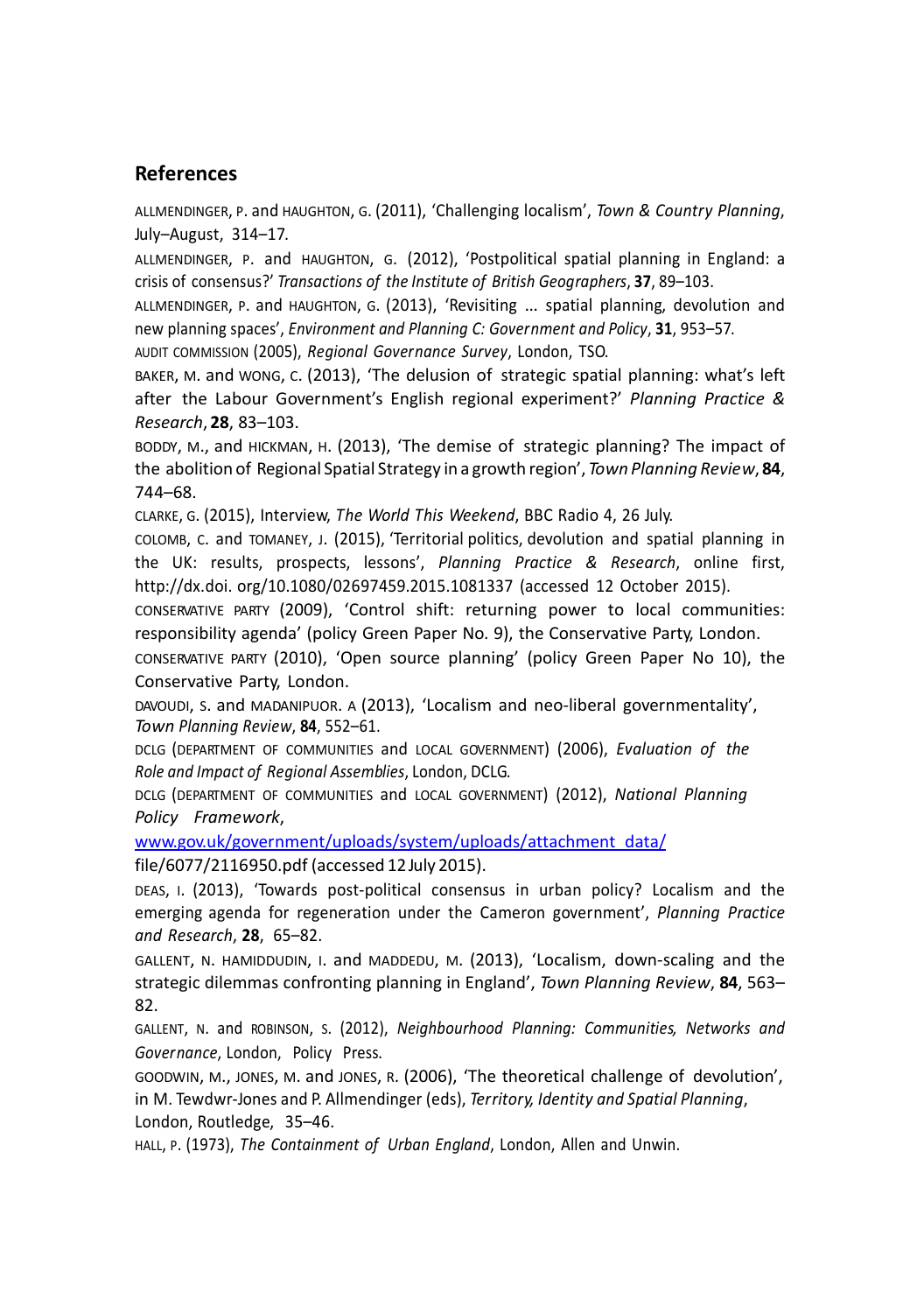#### **References**

ALLMENDINGER, P. and HAUGHTON, G. (2011), 'Challenging localism', *Town & Country Planning*, July–August, 314–17.

ALLMENDINGER, P. and HAUGHTON, G. (2012), 'Postpolitical spatial planning in England: a crisis of consensus?' *Transactions of the Institute of British Geographers*, **37**, 89–103.

ALLMENDINGER, P. and HAUGHTON, G. (2013), 'Revisiting … spatial planning, devolution and new planning spaces', *Environment and Planning C: Government and Policy*, **31**, 953–57.

AUDIT COMMISSION (2005), *Regional Governance Survey*, London, TSO.

BAKER, M. and WONG, C. (2013), 'The delusion of strategic spatial planning: what's left after the Labour Government's English regional experiment?' *Planning Practice & Research*, **28**, 83–103.

BODDY, M., and HICKMAN, H. (2013), 'The demise of strategic planning? The impact of the abolition of Regional Spatial Strategy in a growth region', *Town Planning Review*, **84**, 744–68.

CLARKE, G. (2015), Interview, *The World This Weekend*, BBC Radio 4, 26 July.

COLOMB, C. and TOMANEY, J. (2015), 'Territorial politics, devolution and spatial planning in the UK: results, prospects, lessons', *Planning Practice & Research*, online first, [http://dx.doi.](http://dx.doi/) org/10.1080/02697459.2015.1081337 (accessed 12 October 2015).

CONSERVATIVE PARTY (2009), 'Control shift: returning power to local communities: responsibility agenda' (policy Green Paper No. 9), the Conservative Party, London.

CONSERVATIVE PARTY (2010), 'Open source planning' (policy Green Paper No 10), the Conservative Party, London.

DAVOUDI, S. and MADANIPUOR. A (2013), 'Localism and neo-liberal governmentality', *Town Planning Review*, **84**, 552–61.

DCLG (DEPARTMENT OF COMMUNITIES and LOCAL GOVERNMENT) (2006), *Evaluation of the Role and Impact of Regional Assemblies*, London, DCLG.

DCLG (DEPARTMENT OF COMMUNITIES and LOCAL GOVERNMENT) (2012), *National Planning Policy Framework*,

[www.gov.uk/government/uploads/system/uploads/attachment\\_data/](http://www.gov.uk/government/uploads/system/uploads/attachment_data/)

file/6077/2116950.pdf (accessed 12July 2015).

DEAS, I. (2013), 'Towards post-political consensus in urban policy? Localism and the emerging agenda for regeneration under the Cameron government', *Planning Practice and Research*, **28**, 65–82.

GALLENT, N. HAMIDDUDIN, I. and MADDEDU, M. (2013), 'Localism, down-scaling and the strategic dilemmas confronting planning in England', *Town Planning Review*, **84**, 563– 82.

GALLENT, N. and ROBINSON, S. (2012), *Neighbourhood Planning: Communities, Networks and Governance*, London, Policy Press.

GOODWIN, M., JONES, M. and JONES, R. (2006), 'The theoretical challenge of devolution', in M. Tewdwr-Jones and P. Allmendinger (eds), *Territory, Identity and Spatial Planning*, London, Routledge, 35–46.

HALL, P. (1973), *The Containment of Urban England*, London, Allen and Unwin.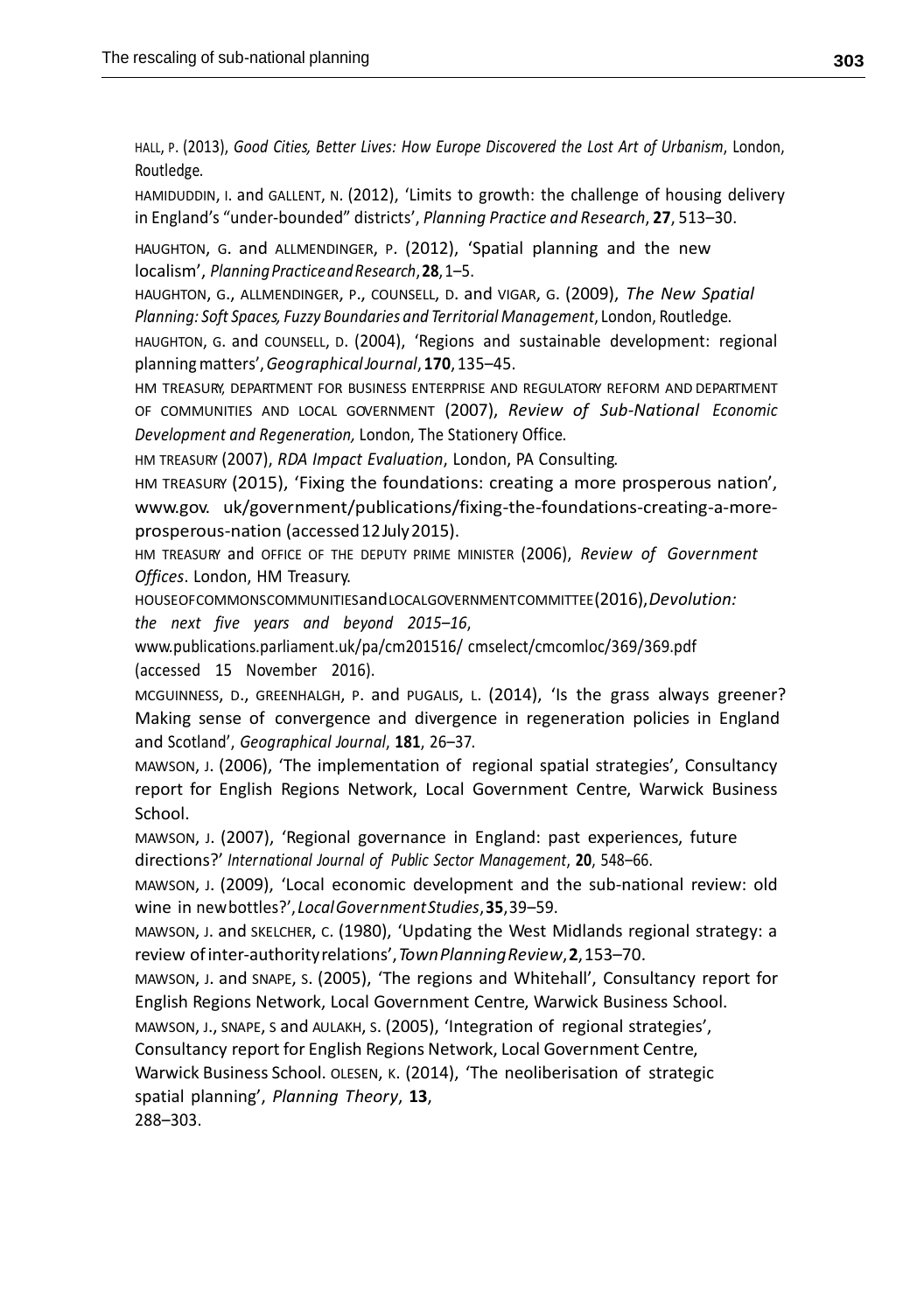HALL, P. (2013), *Good Cities, Better Lives: How Europe Discovered the Lost Art of Urbanism*, London, Routledge.

HAMIDUDDIN, I. and GALLENT, N. (2012), 'Limits to growth: the challenge of housing delivery in England's "under-bounded" districts', *Planning Practice and Research*, **27**, 513–30.

HAUGHTON, G. and ALLMENDINGER, P. (2012), 'Spatial planning and the new localism', *PlanningPracticeandResearch*,**28**,1–5.

HAUGHTON, G., ALLMENDINGER, P., COUNSELL, D. and VIGAR, G. (2009), *The New Spatial Planning: Soft Spaces, Fuzzy Boundaries and Territorial Management*, London, Routledge.

HAUGHTON, G. and COUNSELL, D. (2004), 'Regions and sustainable development: regional planningmatters',*GeographicalJournal*,**170**,135–45.

HM TREASURY, DEPARTMENT FOR BUSINESS ENTERPRISE AND REGULATORY REFORM AND DEPARTMENT OF COMMUNITIES AND LOCAL GOVERNMENT (2007), *Review of Sub-National Economic Development and Regeneration,* London, The Stationery Office.

HM TREASURY (2007), *RDA Impact Evaluation*, London, PA Consulting.

HM TREASURY (2015), 'Fixing the foundations: creating a more prosperous nation', www.gov. uk/government/publications/fixing-the-foundations-creating-a-moreprosperous-nation (accessed 12 July 2015).

HM TREASURY and OFFICE OF THE DEPUTY PRIME MINISTER (2006), *Review of Government Offices*. London, HM Treasury.

HOUSEOFCOMMONSCOMMUNITIESandLOCALGOVERNMENTCOMMITTEE(2016),*Devolution: the next five years and beyond 2015–16*,

[www.publications.parliament.uk/pa/cm201516/](http://www.publications.parliament.uk/pa/cm201516/) cmselect/cmcomloc/369/369.pdf (accessed 15 November 2016).

MCGUINNESS, D., GREENHALGH, P. and PUGALIS, L. (2014), 'Is the grass always greener? Making sense of convergence and divergence in regeneration policies in England and Scotland', *Geographical Journal*, **181**, 26–37.

MAWSON, J. (2006), 'The implementation of regional spatial strategies', Consultancy report for English Regions Network, Local Government Centre, Warwick Business School.

MAWSON, J. (2007), 'Regional governance in England: past experiences, future directions?' *International Journal of Public Sector Management*, **20**, 548–66.

MAWSON, J. (2009), 'Local economic development and the sub-national review: old wine in newbottles?',*LocalGovernmentStudies*,**35**,39–59.

MAWSON, J. and SKELCHER, C. (1980), 'Updating the West Midlands regional strategy: a review ofinter-authorityrelations',*TownPlanningReview*,**2**,153–70.

MAWSON, J. and SNAPE, S. (2005), 'The regions and Whitehall', Consultancy report for English Regions Network, Local Government Centre, Warwick Business School.

MAWSON, J., SNAPE, S and AULAKH, S. (2005), 'Integration of regional strategies',

Consultancy report for English Regions Network, Local Government Centre,

Warwick Business School. OLESEN, K. (2014), 'The neoliberisation of strategic spatial planning', *Planning Theory*, **13**,

288–303.